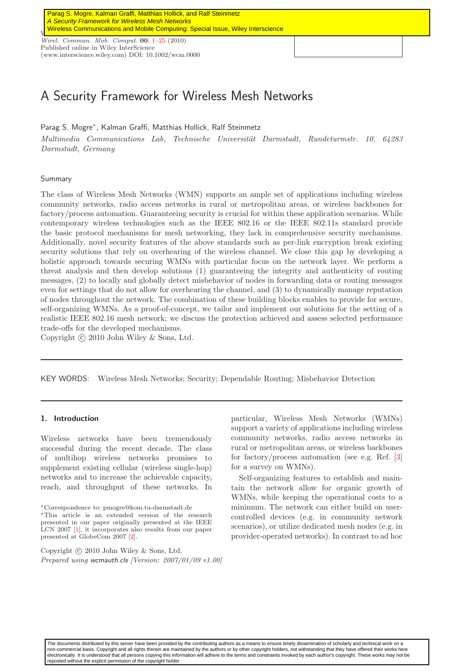<sub>\]</sub> Wireless Communications and Mobile Computing: Special Issue, Wiley Interscience Parag S. Mogre, Kalman Graffi, Matthias Hollick, and Ralf Steinmetz A Security Framework for Wireless Mesh Networks

*Wirel. Commun. Mob. Comput.* 00: 1–25 (2010) Published online in Wiley InterScience (www.interscience.wiley.com) DOI: 10.1002/wcm.0000

# A Security Framework for Wireless Mesh Networks

Parag S. Mogre<sup>\*</sup>, Kalman Graffi, Matthias Hollick, Ralf Steinmetz

Multimedia Communications Lab, Technische Universität Darmstadt, Rundeturmstr. 10, 64283 Darmstadt, Germany

## Summary

The class of Wireless Mesh Networks (WMN) supports an ample set of applications including wireless community networks, radio access networks in rural or metropolitan areas, or wireless backbones for factory/process automation. Guaranteeing security is crucial for within these application scenarios. While contemporary wireless technologies such as the IEEE 802.16 or the IEEE 802.11s standard provide the basic protocol mechanisms for mesh networking, they lack in comprehensive security mechanisms. Additionally, novel security features of the above standards such as per-link encryption break existing security solutions that rely on overhearing of the wireless channel. We close this gap by developing a holistic approach towards securing WMNs with particular focus on the network layer. We perform a threat analysis and then develop solutions (1) guaranteeing the integrity and authenticity of routing messages, (2) to locally and globally detect misbehavior of nodes in forwarding data or routing messages even for settings that do not allow for overhearing the channel, and (3) to dynamically manage reputation of nodes throughout the network. The combination of these building blocks enables to provide for secure, self-organizing WMNs. As a proof-of-concept, we tailor and implement our solutions for the setting of a realistic IEEE 802.16 mesh network; we discuss the protection achieved and assess selected performance trade-offs for the developed mechanisms.

Copyright  $\odot$  2010 John Wiley & Sons, Ltd.

KEY WORDS: Wireless Mesh Networks; Security; Dependable Routing; Misbehavior Detection

## 1. Introduction

Wireless networks have been tremendously successful during the recent decade. The class of multihop wireless networks promises to supplement existing cellular (wireless single-hop) networks and to increase the achievable capacity, reach, and throughput of these networks. In

<sup>∗</sup>Correspondence to: pmogre@kom.tu-darmstadt.de

<sup>∗</sup>This article is an extended version of the research presented in our paper originally presented at the IEEE LCN 2007 [1], it incorporates also results from our paper presented at GlobeCom 2007 [2].

Copyright  $\odot$  2010 John Wiley & Sons, Ltd. *Prepared using* wcmauth.cls *[Version: 2007/01/09 v1.00]* particular, Wireless Mesh Networks (WMNs) support a variety of applications including wireless community networks, radio access networks in rural or metropolitan areas, or wireless backbones for factory/process automation (see e.g. Ref. [3] for a survey on WMNs).

Self-organizing features to establish and maintain the network allow for organic growth of WMNs, while keeping the operational costs to a minimum. The network can either build on usercontrolled devices (e.g. in community network scenarios), or utilize dedicated mesh nodes (e.g. in provider-operated networks). In contrast to ad hoc

The documents distributed by this server have been provided by the contributing authors as a means to ensure timely dissemination of scholarly and technical work on a non-commercial basis. Copyright and all rights therein are maintained by the authors or by other copyright holders, not withstanding that they have offered their works here electronically. It is understood that all persons copying this information will adhere to the terms and constraints invoked by each author's copyright. These works may not be reposted without the explicit permission of the copyright holder.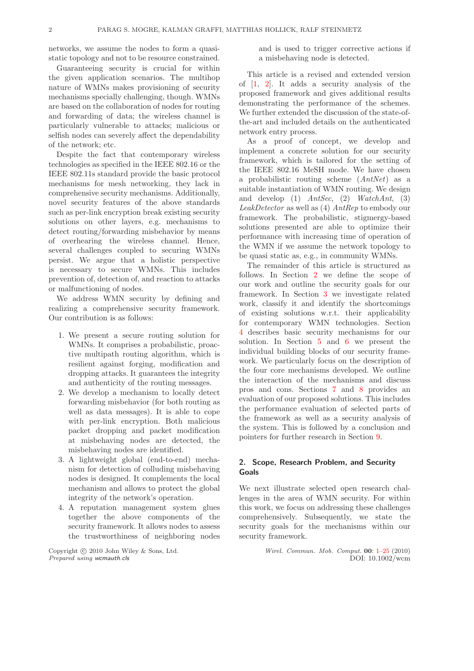networks, we assume the nodes to form a quasistatic topology and not to be resource constrained.

Guaranteeing security is crucial for within the given application scenarios. The multihop nature of WMNs makes provisioning of security mechanisms specially challenging, though. WMNs are based on the collaboration of nodes for routing and forwarding of data; the wireless channel is particularly vulnerable to attacks; malicious or selfish nodes can severely affect the dependability of the network; etc.

Despite the fact that contemporary wireless technologies as specified in the IEEE 802.16 or the IEEE 802.11s standard provide the basic protocol mechanisms for mesh networking, they lack in comprehensive security mechanisms. Additionally, novel security features of the above standards such as per-link encryption break existing security solutions on other layers, e.g. mechanisms to detect routing/forwarding misbehavior by means of overhearing the wireless channel. Hence, several challenges coupled to securing WMNs persist. We argue that a holistic perspective is necessary to secure WMNs. This includes prevention of, detection of, and reaction to attacks or malfunctioning of nodes.

We address WMN security by defining and realizing a comprehensive security framework. Our contribution is as follows:

- 1. We present a secure routing solution for WMNs. It comprises a probabilistic, proactive multipath routing algorithm, which is resilient against forging, modification and dropping attacks. It guarantees the integrity and authenticity of the routing messages.
- 2. We develop a mechanism to locally detect forwarding misbehavior (for both routing as well as data messages). It is able to cope with per-link encryption. Both malicious packet dropping and packet modification at misbehaving nodes are detected, the misbehaving nodes are identified.
- 3. A lightweight global (end-to-end) mechanism for detection of colluding misbehaving nodes is designed. It complements the local mechanism and allows to protect the global integrity of the network's operation.
- 4. A reputation management system glues together the above components of the security framework. It allows nodes to assess the trustworthiness of neighboring nodes

Copyright  $\odot$  2010 John Wiley & Sons, Ltd. *Prepared using* wcmauth.cls

and is used to trigger corrective actions if a misbehaving node is detected.

This article is a revised and extended version of [1, 2]. It adds a security analysis of the proposed framework and gives additional results demonstrating the performance of the schemes. We further extended the discussion of the state-ofthe-art and included details on the authenticated network entry process.

As a proof of concept, we develop and implement a concrete solution for our security framework, which is tailored for the setting of the IEEE 802.16 MeSH mode. We have chosen a probabilistic routing scheme (AntNet) as a suitable instantiation of WMN routing. We design and develop  $(1)$  *AntSec*,  $(2)$  *WatchAnt*,  $(3)$ LeakDetector as well as (4) AntRep to embody our framework. The probabilistic, stigmergy-based solutions presented are able to optimize their performance with increasing time of operation of the WMN if we assume the network topology to be quasi static as, e.g., in community WMNs.

The remainder of this article is structured as follows. In Section 2 we define the scope of our work and outline the security goals for our framework. In Section 3 we investigate related work, classify it and identify the shortcomings of existing solutions w.r.t. their applicability for contemporary WMN technologies. Section 4 describes basic security mechanisms for our solution. In Section 5 and 6 we present the individual building blocks of our security framework. We particularly focus on the description of the four core mechanisms developed. We outline the interaction of the mechanisms and discuss pros and cons. Sections 7 and 8 provides an evaluation of our proposed solutions. This includes the performance evaluation of selected parts of the framework as well as a security analysis of the system. This is followed by a conclusion and pointers for further research in Section 9.

## 2. Scope, Research Problem, and Security Goals

We next illustrate selected open research challenges in the area of WMN security. For within this work, we focus on addressing these challenges comprehensively. Subsequently, we state the security goals for the mechanisms within our security framework.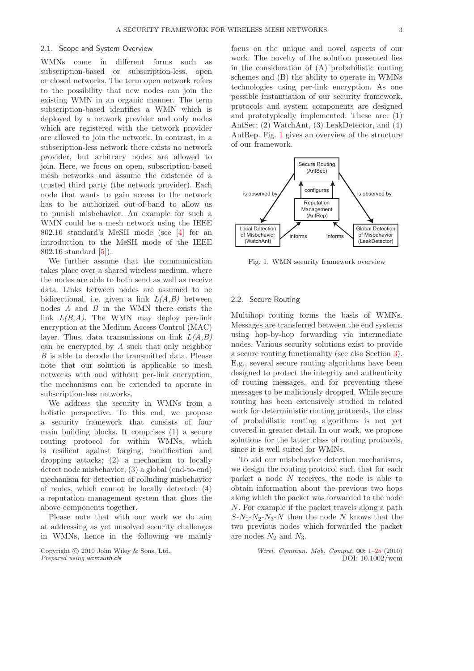## 2.1. Scope and System Overview

WMNs come in different forms such as subscription-based or subscription-less, open or closed networks. The term open network refers to the possibility that new nodes can join the existing WMN in an organic manner. The term subscription-based identifies a WMN which is deployed by a network provider and only nodes which are registered with the network provider are allowed to join the network. In contrast, in a subscription-less network there exists no network provider, but arbitrary nodes are allowed to join. Here, we focus on open, subscription-based mesh networks and assume the existence of a trusted third party (the network provider). Each node that wants to gain access to the network has to be authorized out-of-band to allow us to punish misbehavior. An example for such a WMN could be a mesh network using the IEEE 802.16 standard's MeSH mode (see [4] for an introduction to the MeSH mode of the IEEE 802.16 standard [5]).

We further assume that the communication takes place over a shared wireless medium, where the nodes are able to both send as well as receive data. Links between nodes are assumed to be bidirectional, i.e. given a link  $L(A,B)$  between nodes A and B in the WMN there exists the link  $L(B,A)$ . The WMN may deploy per-link encryption at the Medium Access Control (MAC) layer. Thus, data transmissions on link  $L(A, B)$ can be encrypted by A such that only neighbor B is able to decode the transmitted data. Please note that our solution is applicable to mesh networks with and without per-link encryption, the mechanisms can be extended to operate in subscription-less networks.

We address the security in WMNs from a holistic perspective. To this end, we propose a security framework that consists of four main building blocks. It comprises (1) a secure routing protocol for within WMNs, which is resilient against forging, modification and dropping attacks; (2) a mechanism to locally detect node misbehavior; (3) a global (end-to-end) mechanism for detection of colluding misbehavior of nodes, which cannot be locally detected; (4) a reputation management system that glues the above components together.

Please note that with our work we do aim at addressing as yet unsolved security challenges in WMNs, hence in the following we mainly focus on the unique and novel aspects of our work. The novelty of the solution presented lies in the consideration of (A) probabilistic routing schemes and (B) the ability to operate in WMNs technologies using per-link encryption. As one possible instantiation of our security framework, protocols and system components are designed and prototypically implemented. These are: (1) AntSec; (2) WatchAnt, (3) LeakDetector, and (4) AntRep. Fig. 1 gives an overview of the structure of our framework.



Fig. 1. WMN security framework overview

## 2.2. Secure Routing

Multihop routing forms the basis of WMNs. Messages are transferred between the end systems using hop-by-hop forwarding via intermediate nodes. Various security solutions exist to provide a secure routing functionality (see also Section 3). E.g., several secure routing algorithms have been designed to protect the integrity and authenticity of routing messages, and for preventing these messages to be maliciously dropped. While secure routing has been extensively studied in related work for deterministic routing protocols, the class of probabilistic routing algorithms is not yet covered in greater detail. In our work, we propose solutions for the latter class of routing protocols, since it is well suited for WMNs.

To aid our misbehavior detection mechanisms, we design the routing protocol such that for each packet a node N receives, the node is able to obtain information about the previous two hops along which the packet was forwarded to the node N. For example if the packet travels along a path  $S-N_1-N_2-N_3-N$  then the node N knows that the two previous nodes which forwarded the packet are nodes  $N_2$  and  $N_3$ .

Copyright  $\odot$  2010 John Wiley & Sons, Ltd. *Prepared using* wcmauth.cls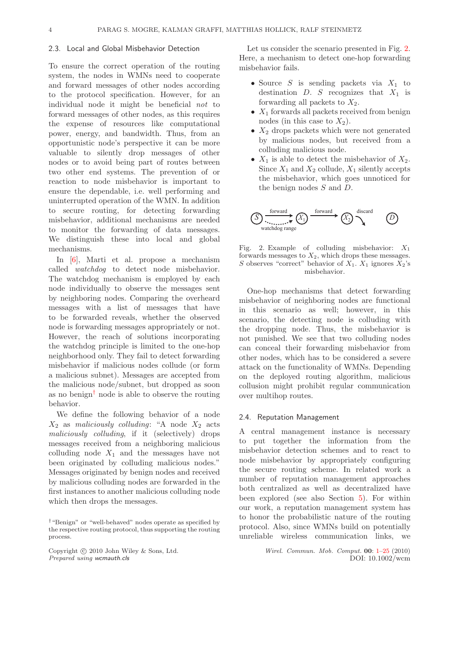## 2.3. Local and Global Misbehavior Detection

To ensure the correct operation of the routing system, the nodes in WMNs need to cooperate and forward messages of other nodes according to the protocol specification. However, for an individual node it might be beneficial not to forward messages of other nodes, as this requires the expense of resources like computational power, energy, and bandwidth. Thus, from an opportunistic node's perspective it can be more valuable to silently drop messages of other nodes or to avoid being part of routes between two other end systems. The prevention of or reaction to node misbehavior is important to ensure the dependable, i.e. well performing and uninterrupted operation of the WMN. In addition to secure routing, for detecting forwarding misbehavior, additional mechanisms are needed to monitor the forwarding of data messages. We distinguish these into local and global mechanisms.

In [6], Marti et al. propose a mechanism called watchdog to detect node misbehavior. The watchdog mechanism is employed by each node individually to observe the messages sent by neighboring nodes. Comparing the overheard messages with a list of messages that have to be forwarded reveals, whether the observed node is forwarding messages appropriately or not. However, the reach of solutions incorporating the watchdog principle is limited to the one-hop neighborhood only. They fail to detect forwarding misbehavior if malicious nodes collude (or form a malicious subnet). Messages are accepted from the malicious node/subnet, but dropped as soon as no benign<sup>†</sup> node is able to observe the routing behavior.

We define the following behavior of a node  $X_2$  as maliciously colluding: "A node  $X_2$  acts maliciously colluding, if it (selectively) drops messages received from a neighboring malicious colluding node  $X_1$  and the messages have not been originated by colluding malicious nodes." Messages originated by benign nodes and received by malicious colluding nodes are forwarded in the first instances to another malicious colluding node which then drops the messages.

Let us consider the scenario presented in Fig. 2. Here, a mechanism to detect one-hop forwarding misbehavior fails.

- Source S is sending packets via  $X_1$  to destination D. S recognizes that  $X_1$  is forwarding all packets to  $X_2$ .
- $X_1$  forwards all packets received from benign nodes (in this case to  $X_2$ ).
- $X_2$  drops packets which were not generated by malicious nodes, but received from a colluding malicious node.
- $X_1$  is able to detect the misbehavior of  $X_2$ . Since  $X_1$  and  $X_2$  collude,  $X_1$  silently accepts the misbehavior, which goes unnoticed for the benign nodes S and D.

$$
\bigodot \underset{\text{watchdog range}}{\underbrace{\text{forward}}} \bigodot \underset{\text{random large}}{\overset{\text{forward}}} \bigodot \underset{\text{magnge}}{\overset{\text{forward}}} \bigodot \bigodot
$$

Fig. 2. Example of colluding misbehavior:  $X_1$ forwards messages to  $X_2$ , which drops these messages. S observes "correct" behavior of  $X_1$ .  $X_1$  ignores  $X_2$ 's misbehavior.

One-hop mechanisms that detect forwarding misbehavior of neighboring nodes are functional in this scenario as well; however, in this scenario, the detecting node is colluding with the dropping node. Thus, the misbehavior is not punished. We see that two colluding nodes can conceal their forwarding misbehavior from other nodes, which has to be considered a severe attack on the functionality of WMNs. Depending on the deployed routing algorithm, malicious collusion might prohibit regular communication over multihop routes.

#### 2.4. Reputation Management

A central management instance is necessary to put together the information from the misbehavior detection schemes and to react to node misbehavior by appropriately configuring the secure routing scheme. In related work a number of reputation management approaches both centralized as well as decentralized have been explored (see also Section 5). For within our work, a reputation management system has to honor the probabilistic nature of the routing protocol. Also, since WMNs build on potentially unreliable wireless communication links, we

<sup>†</sup>"Benign" or "well-behaved" nodes operate as specified by the respective routing protocol, thus supporting the routing process.

Copyright  $\odot$  2010 John Wiley & Sons, Ltd. *Prepared using* wcmauth.cls

*Wirel. Commun. Mob. Comput.* 00: 1–25 (2010) DOI: 10.1002/wcm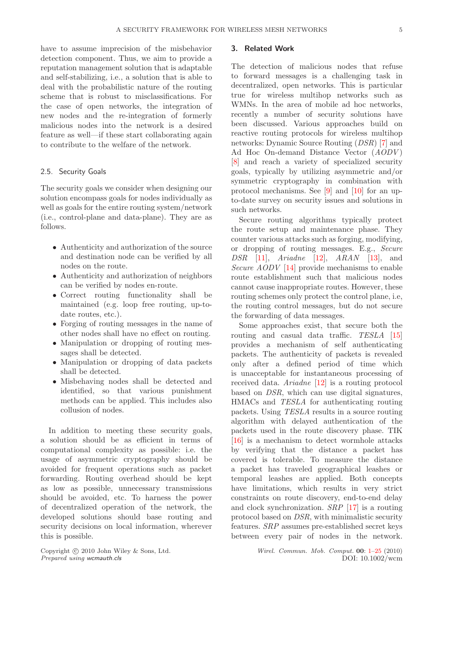have to assume imprecision of the misbehavior detection component. Thus, we aim to provide a reputation management solution that is adaptable and self-stabilizing, i.e., a solution that is able to deal with the probabilistic nature of the routing scheme that is robust to misclassifications. For the case of open networks, the integration of new nodes and the re-integration of formerly malicious nodes into the network is a desired feature as well—if these start collaborating again to contribute to the welfare of the network.

#### 2.5. Security Goals

The security goals we consider when designing our solution encompass goals for nodes individually as well as goals for the entire routing system/network (i.e., control-plane and data-plane). They are as follows.

- Authenticity and authorization of the source and destination node can be verified by all nodes on the route.
- Authenticity and authorization of neighbors can be verified by nodes en-route.
- Correct routing functionality shall be maintained (e.g. loop free routing, up-todate routes, etc.).
- Forging of routing messages in the name of other nodes shall have no effect on routing.
- Manipulation or dropping of routing messages shall be detected.
- Manipulation or dropping of data packets shall be detected.
- Misbehaving nodes shall be detected and identified, so that various punishment methods can be applied. This includes also collusion of nodes.

In addition to meeting these security goals, a solution should be as efficient in terms of computational complexity as possible: i.e. the usage of asymmetric cryptography should be avoided for frequent operations such as packet forwarding. Routing overhead should be kept as low as possible, unnecessary transmissions should be avoided, etc. To harness the power of decentralized operation of the network, the developed solutions should base routing and security decisions on local information, wherever this is possible.

# 3. Related Work

The detection of malicious nodes that refuse to forward messages is a challenging task in decentralized, open networks. This is particular true for wireless multihop networks such as WMNs. In the area of mobile ad hoc networks, recently a number of security solutions have been discussed. Various approaches build on reactive routing protocols for wireless multihop networks: Dynamic Source Routing (DSR) [7] and Ad Hoc On-demand Distance Vector (AODV) [8] and reach a variety of specialized security goals, typically by utilizing asymmetric and/or symmetric cryptography in combination with protocol mechanisms. See [9] and [10] for an upto-date survey on security issues and solutions in such networks.

Secure routing algorithms typically protect the route setup and maintenance phase. They counter various attacks such as forging, modifying, or dropping of routing messages. E.g., Secure DSR [11], Ariadne [12], ARAN [13], and Secure AODV [14] provide mechanisms to enable route establishment such that malicious nodes cannot cause inappropriate routes. However, these routing schemes only protect the control plane, i.e, the routing control messages, but do not secure the forwarding of data messages.

Some approaches exist, that secure both the routing and casual data traffic. TESLA [15] provides a mechanism of self authenticating packets. The authenticity of packets is revealed only after a defined period of time which is unacceptable for instantaneous processing of received data. Ariadne [12] is a routing protocol based on DSR, which can use digital signatures, HMACs and TESLA for authenticating routing packets. Using TESLA results in a source routing algorithm with delayed authentication of the packets used in the route discovery phase. TIK [16] is a mechanism to detect wormhole attacks by verifying that the distance a packet has covered is tolerable. To measure the distance a packet has traveled geographical leashes or temporal leashes are applied. Both concepts have limitations, which results in very strict constraints on route discovery, end-to-end delay and clock synchronization.  $SRP$  [17] is a routing protocol based on DSR, with minimalistic security features. SRP assumes pre-established secret keys between every pair of nodes in the network.

Copyright  $\odot$  2010 John Wiley & Sons, Ltd. *Prepared using* wcmauth.cls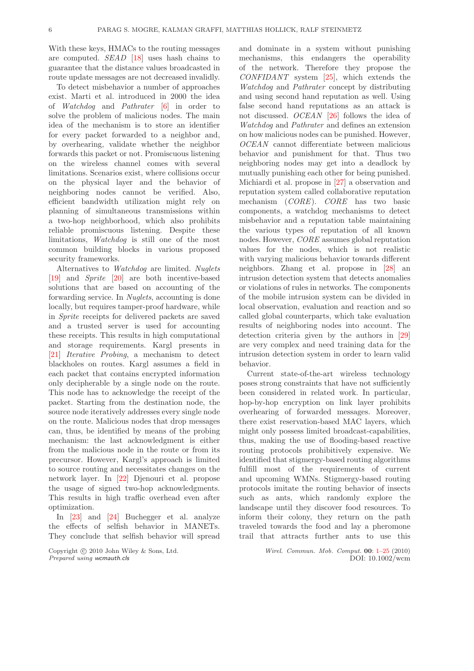With these keys, HMACs to the routing messages are computed. SEAD [18] uses hash chains to guarantee that the distance values broadcasted in route update messages are not decreased invalidly.

To detect misbehavior a number of approaches exist. Marti et al. introduced in 2000 the idea of Watchdog and Pathrater [6] in order to solve the problem of malicious nodes. The main idea of the mechanism is to store an identifier for every packet forwarded to a neighbor and, by overhearing, validate whether the neighbor forwards this packet or not. Promiscuous listening on the wireless channel comes with several limitations. Scenarios exist, where collisions occur on the physical layer and the behavior of neighboring nodes cannot be verified. Also, efficient bandwidth utilization might rely on planning of simultaneous transmissions within a two-hop neighborhood, which also prohibits reliable promiscuous listening. Despite these limitations, Watchdog is still one of the most common building blocks in various proposed security frameworks.

Alternatives to Watchdog are limited. Nuglets [19] and Sprite [20] are both incentive-based solutions that are based on accounting of the forwarding service. In Nuglets, accounting is done locally, but requires tamper-proof hardware, while in Sprite receipts for delivered packets are saved and a trusted server is used for accounting these receipts. This results in high computational and storage requirements. Kargl presents in [21] Iterative Probing, a mechanism to detect blackholes on routes. Kargl assumes a field in each packet that contains encrypted information only decipherable by a single node on the route. This node has to acknowledge the receipt of the packet. Starting from the destination node, the source node iteratively addresses every single node on the route. Malicious nodes that drop messages can, thus, be identified by means of the probing mechanism: the last acknowledgment is either from the malicious node in the route or from its precursor. However, Kargl's approach is limited to source routing and necessitates changes on the network layer. In [22] Djenouri et al. propose the usage of signed two-hop acknowledgments. This results in high traffic overhead even after optimization.

In [23] and [24] Buchegger et al. analyze the effects of selfish behavior in MANETs. They conclude that selfish behavior will spread and dominate in a system without punishing mechanisms, this endangers the operability of the network. Therefore they propose the CONFIDANT system [25], which extends the Watchdog and Pathrater concept by distributing and using second hand reputation as well. Using false second hand reputations as an attack is not discussed. OCEAN [26] follows the idea of Watchdog and Pathrater and defines an extension on how malicious nodes can be punished. However, OCEAN cannot differentiate between malicious behavior and punishment for that. Thus two neighboring nodes may get into a deadlock by mutually punishing each other for being punished. Michiardi et al. propose in [27] a observation and reputation system called collaborative reputation mechanism (CORE). CORE has two basic components, a watchdog mechanisms to detect misbehavior and a reputation table maintaining the various types of reputation of all known nodes. However, CORE assumes global reputation values for the nodes, which is not realistic with varying malicious behavior towards different neighbors. Zhang et al. propose in [28] an intrusion detection system that detects anomalies or violations of rules in networks. The components of the mobile intrusion system can be divided in local observation, evaluation and reaction and so called global counterparts, which take evaluation results of neighboring nodes into account. The detection criteria given by the authors in [29] are very complex and need training data for the intrusion detection system in order to learn valid behavior.

Current state-of-the-art wireless technology poses strong constraints that have not sufficiently been considered in related work. In particular, hop-by-hop encryption on link layer prohibits overhearing of forwarded messages. Moreover, there exist reservation-based MAC layers, which might only possess limited broadcast-capabilities, thus, making the use of flooding-based reactive routing protocols prohibitively expensive. We identified that stigmergy-based routing algorithms fulfill most of the requirements of current and upcoming WMNs. Stigmergy-based routing protocols imitate the routing behavior of insects such as ants, which randomly explore the landscape until they discover food resources. To inform their colony, they return on the path traveled towards the food and lay a pheromone trail that attracts further ants to use this

Copyright  $\odot$  2010 John Wiley & Sons, Ltd. *Prepared using* wcmauth.cls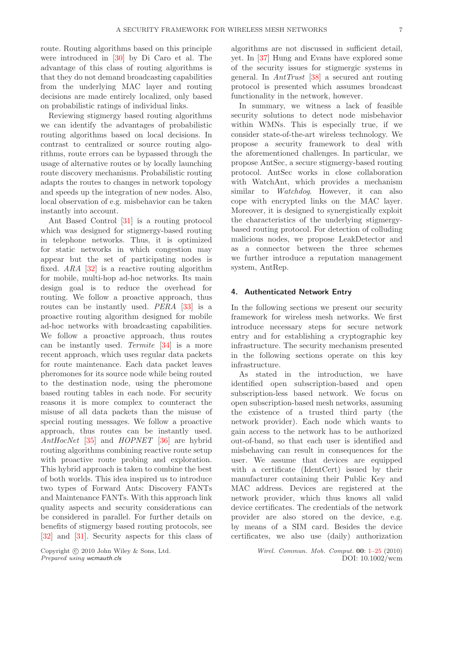route. Routing algorithms based on this principle were introduced in [30] by Di Caro et al. The advantage of this class of routing algorithms is that they do not demand broadcasting capabilities from the underlying MAC layer and routing decisions are made entirely localized, only based on probabilistic ratings of individual links.

Reviewing stigmergy based routing algorithms we can identify the advantages of probabilistic routing algorithms based on local decisions. In contrast to centralized or source routing algorithms, route errors can be bypassed through the usage of alternative routes or by locally launching route discovery mechanisms. Probabilistic routing adapts the routes to changes in network topology and speeds up the integration of new nodes. Also, local observation of e.g. misbehavior can be taken instantly into account.

Ant Based Control [31] is a routing protocol which was designed for stigmergy-based routing in telephone networks. Thus, it is optimized for static networks in which congestion may appear but the set of participating nodes is fixed.  $ARA$  [32] is a reactive routing algorithm for mobile, multi-hop ad-hoc networks. Its main design goal is to reduce the overhead for routing. We follow a proactive approach, thus routes can be instantly used. PERA [33] is a proactive routing algorithm designed for mobile ad-hoc networks with broadcasting capabilities. We follow a proactive approach, thus routes can be instantly used. Termite [34] is a more recent approach, which uses regular data packets for route maintenance. Each data packet leaves pheromones for its source node while being routed to the destination node, using the pheromone based routing tables in each node. For security reasons it is more complex to counteract the misuse of all data packets than the misuse of special routing messages. We follow a proactive approach, thus routes can be instantly used. AntHocNet [35] and HOPNET [36] are hybrid routing algorithms combining reactive route setup with proactive route probing and exploration. This hybrid approach is taken to combine the best of both worlds. This idea inspired us to introduce two types of Forward Ants: Discovery FANTs and Maintenance FANTs. With this approach link quality aspects and security considerations can be considered in parallel. For further details on benefits of stigmergy based routing protocols, see [32] and [31]. Security aspects for this class of algorithms are not discussed in sufficient detail, yet. In [37] Hung and Evans have explored some of the security issues for stigmergic systems in general. In AntTrust [38] a secured ant routing protocol is presented which assumes broadcast functionality in the network, however.

In summary, we witness a lack of feasible security solutions to detect node misbehavior within WMNs. This is especially true, if we consider state-of-the-art wireless technology. We propose a security framework to deal with the aforementioned challenges. In particular, we propose AntSec, a secure stigmergy-based routing protocol. AntSec works in close collaboration with WatchAnt, which provides a mechanism similar to Watchdog. However, it can also cope with encrypted links on the MAC layer. Moreover, it is designed to synergistically exploit the characteristics of the underlying stigmergybased routing protocol. For detection of colluding malicious nodes, we propose LeakDetector and as a connector between the three schemes we further introduce a reputation management system, AntRep.

#### 4. Authenticated Network Entry

In the following sections we present our security framework for wireless mesh networks. We first introduce necessary steps for secure network entry and for establishing a cryptographic key infrastructure. The security mechanism presented in the following sections operate on this key infrastructure.

As stated in the introduction, we have identified open subscription-based and open subscription-less based network. We focus on open subscription-based mesh networks, assuming the existence of a trusted third party (the network provider). Each node which wants to gain access to the network has to be authorized out-of-band, so that each user is identified and misbehaving can result in consequences for the user. We assume that devices are equipped with a certificate (IdentCert) issued by their manufacturer containing their Public Key and MAC address. Devices are registered at the network provider, which thus knows all valid device certificates. The credentials of the network provider are also stored on the device, e.g. by means of a SIM card. Besides the device certificates, we also use (daily) authorization

Copyright  $\odot$  2010 John Wiley & Sons, Ltd. *Prepared using* wcmauth.cls

*Wirel. Commun. Mob. Comput.* 00: 1–25 (2010) DOI: 10.1002/wcm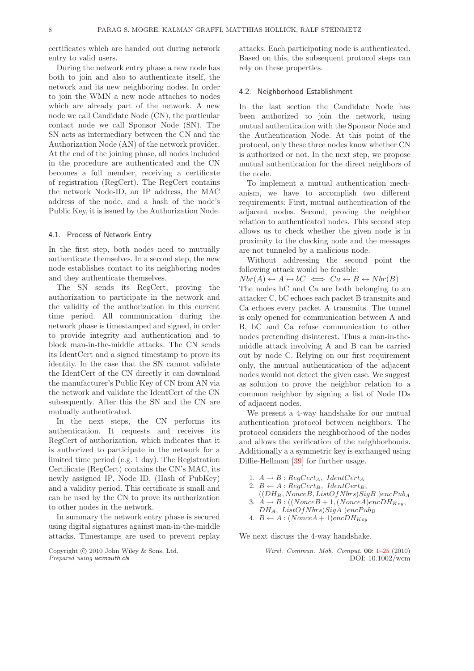certificates which are handed out during network entry to valid users.

During the network entry phase a new node has both to join and also to authenticate itself, the network and its new neighboring nodes. In order to join the WMN a new node attaches to nodes which are already part of the network. A new node we call Candidate Node (CN), the particular contact node we call Sponsor Node (SN). The SN acts as intermediary between the CN and the Authorization Node (AN) of the network provider. At the end of the joining phase, all nodes included in the procedure are authenticated and the CN becomes a full member, receiving a certificate of registration (RegCert). The RegCert contains the network Node-ID, an IP address, the MAC address of the node, and a hash of the node's Public Key, it is issued by the Authorization Node.

#### 4.1. Process of Network Entry

In the first step, both nodes need to mutually authenticate themselves. In a second step, the new node establishes contact to its neighboring nodes and they authenticate themselves.

The SN sends its RegCert, proving the authorization to participate in the network and the validity of the authorization in this current time period. All communication during the network phase is timestamped and signed, in order to provide integrity and authentication and to block man-in-the-middle attacks. The CN sends its IdentCert and a signed timestamp to prove its identity. In the case that the SN cannot validate the IdentCert of the CN directly it can download the manufacturer's Public Key of CN from AN via the network and validate the IdentCert of the CN subsequently. After this the SN and the CN are mutually authenticated.

In the next steps, the CN performs its authentication. It requests and receives its RegCert of authorization, which indicates that it is authorized to participate in the network for a limited time period (e.g. 1 day). The Registration Certificate (RegCert) contains the CN's MAC, its newly assigned IP, Node ID, (Hash of PubKey) and a validity period. This certificate is small and can be used by the CN to prove its authorization to other nodes in the network.

In summary the network entry phase is secured using digital signatures against man-in-the-middle attacks. Timestamps are used to prevent replay

attacks. Each participating node is authenticated. Based on this, the subsequent protocol steps can rely on these properties.

#### 4.2. Neighborhood Establishment

In the last section the Candidate Node has been authorized to join the network, using mutual authentication with the Sponsor Node and the Authentication Node. At this point of the protocol, only these three nodes know whether CN is authorized or not. In the next step, we propose mutual authentication for the direct neighbors of the node.

To implement a mutual authentication mechanism, we have to accomplish two different requirements: First, mutual authentication of the adjacent nodes. Second, proving the neighbor relation to authenticated nodes. This second step allows us to check whether the given node is in proximity to the checking node and the messages are not tunneled by a malicious node.

Without addressing the second point the following attack would be feasible:

 $Nbr(A) \leftrightarrow A \leftrightarrow bC \iff Ca \leftrightarrow B \leftrightarrow Nbr(B)$ 

The nodes bC and Ca are both belonging to an attacker C, bC echoes each packet B transmits and Ca echoes every packet A transmits. The tunnel is only opened for communication between A and B, bC and Ca refuse communication to other nodes pretending disinterest. Thus a man-in-themiddle attack involving A and B can be carried out by node C. Relying on our first requirement only, the mutual authentication of the adjacent nodes would not detect the given case. We suggest as solution to prove the neighbor relation to a common neighbor by signing a list of Node IDs of adjacent nodes.

We present a 4-way handshake for our mutual authentication protocol between neighbors. The protocol considers the neighborhood of the nodes and allows the verification of the neighborhoods. Additionally a a symmetric key is exchanged using Diffie-Hellman [39] for further usage.

- 1.  $A \rightarrow B : RegCert_A, IdentCert_A)$
- 2.  $B \leftarrow A : RegCert_B, IdentCert_B,$
- $((DH_B, NoneB, ListOfNbrs)SigB) encPub<sub>A</sub>$ 3.  $A \rightarrow B$ : ((NonceB + 1, (NonceA)encDH<sub>Key</sub>,  $DH_A$ ,  $ListOfNbrs)SigA$  )enc $Pub_B$
- 4.  $B \leftarrow A : (NonceA + 1) encDH_{Key}$

We next discuss the 4-way handshake.

Copyright  $\odot$  2010 John Wiley & Sons, Ltd. *Prepared using* wcmauth.cls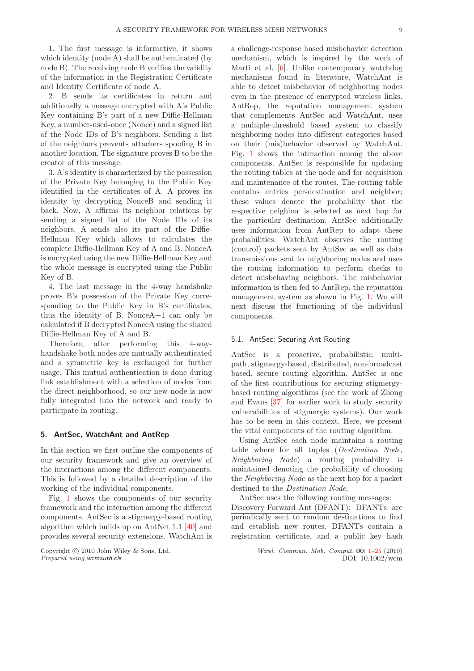1. The first message is informative, it shows

which identity (node A) shall be authenticated (by node B). The receiving node B verifies the validity of the information in the Registration Certificate and Identity Certificate of node A.

2. B sends its certificates in return and additionally a message encrypted with A's Public Key containing B's part of a new Diffie-Hellman Key, a number-used-once (Nonce) and a signed list of the Node IDs of B's neighbors. Sending a list of the neighbors prevents attackers spoofing B in another location. The signature proves B to be the creator of this message.

3. A's identity is characterized by the possession of the Private Key belonging to the Public Key identified in the certificates of A. A proves its identity by decrypting NonceB and sending it back. Now, A affirms its neighbor relations by sending a signed list of the Node IDs of its neighbors. A sends also its part of the Diffie-Hellman Key which allows to calculates the complete Diffie-Hellman Key of A and B. NonceA is encrypted using the new Diffie-Hellman Key and the whole message is encrypted using the Public Key of B.

4. The last message in the 4-way handshake proves B's possession of the Private Key corresponding to the Public Key in B's certificates, thus the identity of B. NonceA+1 can only be calculated if B decrypted NonceA using the shared Diffie-Hellman Key of A and B.

Therefore, after performing this 4-wayhandshake both nodes are mutually authenticated and a symmetric key is exchanged for further usage. This mutual authentication is done during link establishment with a selection of nodes from the direct neighborhood, so our new node is now fully integrated into the network and ready to participate in routing.

## 5. AntSec, WatchAnt and AntRep

In this section we first outline the components of our security framework and give an overview of the interactions among the different components. This is followed by a detailed description of the working of the individual components.

Fig. 1 shows the components of our security framework and the interaction among the different components. AntSec is a stigmergy-based routing algorithm which builds up on AntNet 1.1 [40] and provides several security extensions. WatchAnt is

a challenge-response based misbehavior detection mechanism, which is inspired by the work of Marti et al. [6]. Unlike contemporary watchdog mechanisms found in literature, WatchAnt is able to detect misbehavior of neighboring nodes even in the presence of encrypted wireless links. AntRep, the reputation management system that complements AntSec and WatchAnt, uses a multiple-threshold based system to classify neighboring nodes into different categories based on their (mis)behavior observed by WatchAnt. Fig. 1 shows the interaction among the above components. AntSec is responsible for updating the routing tables at the node and for acquisition and maintenance of the routes. The routing table contains entries per-destination and neighbor; these values denote the probability that the respective neighbor is selected as next hop for the particular destination. AntSec additionally uses information from AntRep to adapt these probabilities. WatchAnt observes the routing (control) packets sent by AntSec as well as data transmissions sent to neighboring nodes and uses the routing information to perform checks to detect misbehaving neighbors. The misbehavior information is then fed to AntRep, the reputation management system as shown in Fig. 1. We will next discuss the functioning of the individual components.

## 5.1. AntSec: Securing Ant Routing

AntSec is a proactive, probabilistic, multipath, stigmergy-based, distributed, non-broadcast based, secure routing algorithm. AntSec is one of the first contributions for securing stigmergybased routing algorithms (see the work of Zhong and Evans [37] for earlier work to study security vulnerabilities of stigmergic systems). Our work has to be seen in this context. Here, we present the vital components of the routing algorithm.

Using AntSec each node maintains a routing table where for all tuples (Destination Node, Neighboring Node) a routing probability is maintained denoting the probability of choosing the Neighboring Node as the next hop for a packet destined to the Destination Node.

AntSec uses the following routing messages: Discovery Forward Ant (DFANT): DFANTs are periodically sent to random destinations to find and establish new routes. DFANTs contain a registration certificate, and a public key hash

Copyright  $\odot$  2010 John Wiley & Sons, Ltd. *Prepared using* wcmauth.cls

*Wirel. Commun. Mob. Comput.* 00: 1–25 (2010) DOI: 10.1002/wcm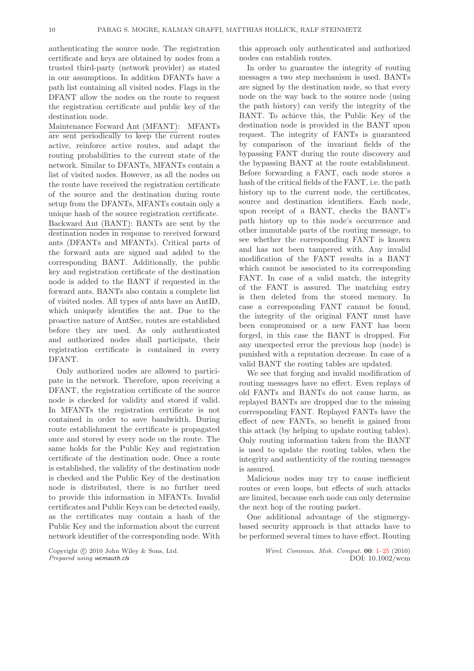authenticating the source node. The registration certificate and keys are obtained by nodes from a trusted third-party (network provider) as stated in our assumptions. In addition DFANTs have a path list containing all visited nodes. Flags in the DFANT allow the nodes on the route to request the registration certificate and public key of the destination node.

Maintenance Forward Ant (MFANT): MFANTs are sent periodically to keep the current routes active, reinforce active routes, and adapt the routing probabilities to the current state of the network. Similar to DFANTs, MFANTs contain a list of visited nodes. However, as all the nodes on the route have received the registration certificate of the source and the destination during route setup from the DFANTs, MFANTs contain only a unique hash of the source registration certificate. Backward Ant (BANT): BANTs are sent by the destination nodes in response to received forward ants (DFANTs and MFANTs). Critical parts of the forward ants are signed and added to the corresponding BANT. Additionally, the public key and registration certificate of the destination node is added to the BANT if requested in the forward ants. BANTs also contain a complete list of visited nodes. All types of ants have an AntID, which uniquely identifies the ant. Due to the proactive nature of AntSec, routes are established before they are used. As only authenticated and authorized nodes shall participate, their registration certificate is contained in every DFANT.

Only authorized nodes are allowed to participate in the network. Therefore, upon receiving a DFANT, the registration certificate of the source node is checked for validity and stored if valid. In MFANTs the registration certificate is not contained in order to save bandwidth. During route establishment the certificate is propagated once and stored by every node on the route. The same holds for the Public Key and registration certificate of the destination node. Once a route is established, the validity of the destination node is checked and the Public Key of the destination node is distributed, there is no further need to provide this information in MFANTs. Invalid certificates and Public Keys can be detected easily, as the certificates may contain a hash of the Public Key and the information about the current network identifier of the corresponding node. With

Copyright  $\odot$  2010 John Wiley & Sons, Ltd. *Prepared using* wcmauth.cls

this approach only authenticated and authorized nodes can establish routes.

In order to guarantee the integrity of routing messages a two step mechanism is used. BANTs are signed by the destination node, so that every node on the way back to the source node (using the path history) can verify the integrity of the BANT. To achieve this, the Public Key of the destination node is provided in the BANT upon request. The integrity of FANTs is guaranteed by comparison of the invariant fields of the bypassing FANT during the route discovery and the bypassing BANT at the route establishment. Before forwarding a FANT, each node stores a hash of the critical fields of the FANT, i.e. the path history up to the current node, the certificates, source and destination identifiers. Each node, upon receipt of a BANT, checks the BANT's path history up to this node's occurrence and other immutable parts of the routing message, to see whether the corresponding FANT is known and has not been tampered with. Any invalid modification of the FANT results in a BANT which cannot be associated to its corresponding FANT. In case of a valid match, the integrity of the FANT is assured. The matching entry is then deleted from the stored memory. In case a corresponding FANT cannot be found, the integrity of the original FANT must have been compromised or a new FANT has been forged, in this case the BANT is dropped. For any unexpected error the previous hop (node) is punished with a reputation decrease. In case of a valid BANT the routing tables are updated.

We see that forging and invalid modification of routing messages have no effect. Even replays of old FANTs and BANTs do not cause harm, as replayed BANTs are dropped due to the missing corresponding FANT. Replayed FANTs have the effect of new FANTs, so benefit is gained from this attack (by helping to update routing tables). Only routing information taken from the BANT is used to update the routing tables, when the integrity and authenticity of the routing messages is assured.

Malicious nodes may try to cause inefficient routes or even loops, but effects of such attacks are limited, because each node can only determine the next hop of the routing packet.

One additional advantage of the stigmergybased security approach is that attacks have to be performed several times to have effect. Routing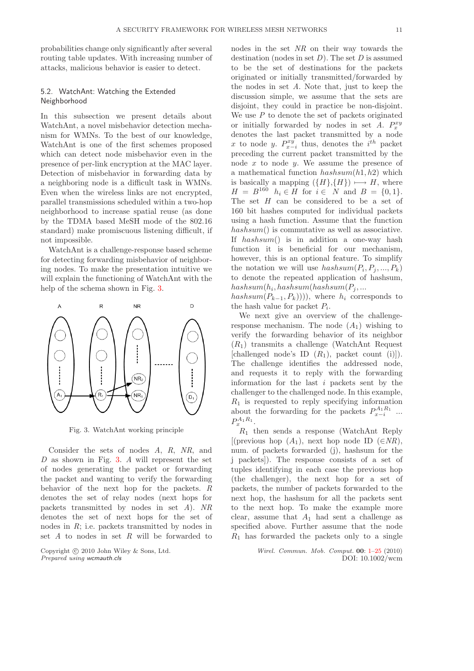probabilities change only significantly after several routing table updates. With increasing number of attacks, malicious behavior is easier to detect.

# 5.2. WatchAnt: Watching the Extended Neighborhood

In this subsection we present details about WatchAnt, a novel misbehavior detection mechanism for WMNs. To the best of our knowledge, WatchAnt is one of the first schemes proposed which can detect node misbehavior even in the presence of per-link encryption at the MAC layer. Detection of misbehavior in forwarding data by a neighboring node is a difficult task in WMNs. Even when the wireless links are not encrypted, parallel transmissions scheduled within a two-hop neighborhood to increase spatial reuse (as done by the TDMA based MeSH mode of the 802.16 standard) make promiscuous listening difficult, if not impossible.

WatchAnt is a challenge-response based scheme for detecting forwarding misbehavior of neighboring nodes. To make the presentation intuitive we will explain the functioning of WatchAnt with the help of the schema shown in Fig. 3.



Fig. 3. WatchAnt working principle

Consider the sets of nodes A, R, NR, and  $D$  as shown in Fig. 3. A will represent the set of nodes generating the packet or forwarding the packet and wanting to verify the forwarding behavior of the next hop for the packets. R denotes the set of relay nodes (next hops for packets transmitted by nodes in set A). NR denotes the set of next hops for the set of nodes in  $R$ ; i.e. packets transmitted by nodes in set  $A$  to nodes in set  $R$  will be forwarded to

Copyright  $\odot$  2010 John Wiley & Sons, Ltd. *Prepared using* wcmauth.cls

nodes in the set NR on their way towards the destination (nodes in set  $D$ ). The set  $D$  is assumed to be the set of destinations for the packets originated or initially transmitted/forwarded by the nodes in set A. Note that, just to keep the discussion simple, we assume that the sets are disjoint, they could in practice be non-disjoint. We use  $P$  to denote the set of packets originated or initially forwarded by nodes in set A.  $P_x^{xy}$ denotes the last packet transmitted by a node x to node y.  $P_{x-i}^{xy}$  thus, denotes the  $i^{th}$  packet preceding the current packet transmitted by the node  $x$  to node  $y$ . We assume the presence of a mathematical function  $hashsum(h1, h2)$  which is basically a mapping  $({H},{H}) \longrightarrow H$ , where  $H = B^{160}$   $h_i \in H$  for  $i \in N$  and  $B = \{0, 1\}.$ The set  $H$  can be considered to be a set of 160 bit hashes computed for individual packets using a hash function. Assume that the function hashsum() is commutative as well as associative. If hashsum() is in addition a one-way hash function it is beneficial for our mechanism, however, this is an optional feature. To simplify the notation we will use  $hashsum(P_i, P_j, ..., P_k)$ to denote the repeated application of hashsum,  $hashsum(h_i, hashsum(hashsum(P_j, ...)$ 

 $hashsum(P_{k-1}, P_k)))$ , where  $h_i$  corresponds to the hash value for packet  $P_i$ .

We next give an overview of the challengeresponse mechanism. The node  $(A_1)$  wishing to verify the forwarding behavior of its neighbor  $(R_1)$  transmits a challenge (WatchAnt Request [challenged node's ID  $(R_1)$ , packet count (i)]). The challenge identifies the addressed node, and requests it to reply with the forwarding information for the last  $i$  packets sent by the challenger to the challenged node. In this example,  $R_1$  is requested to reply specifying information about the forwarding for the packets  $P_{x-i}^{A_1R_1}$  ...  $P_{x}^{A_1 R_1}.$ 

 $R_1$  then sends a response (WatchAnt Reply [(previous hop  $(A_1)$ , next hop node ID ( $\in$ NR), num. of packets forwarded (j), hashsum for the j packets]). The response consists of a set of tuples identifying in each case the previous hop (the challenger), the next hop for a set of packets, the number of packets forwarded to the next hop, the hashsum for all the packets sent to the next hop. To make the example more clear, assume that  $A_1$  had sent a challenge as specified above. Further assume that the node  $R_1$  has forwarded the packets only to a single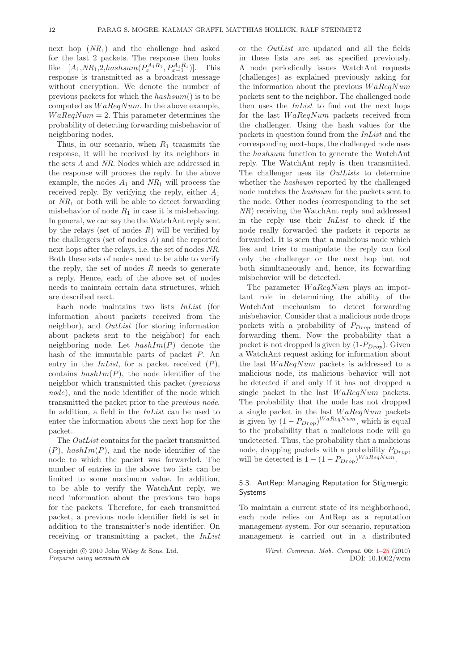next hop  $(NR_1)$  and the challenge had asked for the last 2 packets. The response then looks like  $[A_1, NR_1, 2, hashsum(P_x^{A_1R_1}, P_{x-1}^{A_1R_1})]$ . This response is transmitted as a broadcast message without encryption. We denote the number of previous packets for which the hashsum() is to be computed as  $WaRegNum$ . In the above example,  $WaRegNum = 2$ . This parameter determines the probability of detecting forwarding misbehavior of neighboring nodes.

Thus, in our scenario, when  $R_1$  transmits the response, it will be received by its neighbors in the sets A and NR. Nodes which are addressed in the response will process the reply. In the above example, the nodes  $A_1$  and  $NR_1$  will process the received reply. By verifying the reply, either  $A_1$ or  $NR_1$  or both will be able to detect forwarding misbehavior of node  $R_1$  in case it is misbehaving. In general, we can say the the WatchAnt reply sent by the relays (set of nodes  $R$ ) will be verified by the challengers (set of nodes A) and the reported next hops after the relays, i.e. the set of nodes NR. Both these sets of nodes need to be able to verify the reply, the set of nodes  $R$  needs to generate a reply. Hence, each of the above set of nodes needs to maintain certain data structures, which are described next.

Each node maintains two lists InList (for information about packets received from the neighbor), and OutList (for storing information about packets sent to the neighbor) for each neighboring node. Let  $hashIm(P)$  denote the hash of the immutable parts of packet P. An entry in the *InList*, for a packet received  $(P)$ , contains  $hashIm(P)$ , the node identifier of the neighbor which transmitted this packet (previous node), and the node identifier of the node which transmitted the packet prior to the previous node. In addition, a field in the InList can be used to enter the information about the next hop for the packet.

The *OutList* contains for the packet transmitted  $(P)$ , hashIm $(P)$ , and the node identifier of the node to which the packet was forwarded. The number of entries in the above two lists can be limited to some maximum value. In addition, to be able to verify the WatchAnt reply, we need information about the previous two hops for the packets. Therefore, for each transmitted packet, a previous node identifier field is set in addition to the transmitter's node identifier. On receiving or transmitting a packet, the InList or the OutList are updated and all the fields in these lists are set as specified previously. A node periodically issues WatchAnt requests (challenges) as explained previously asking for the information about the previous  $W a RegNum$ packets sent to the neighbor. The challenged node then uses the InList to find out the next hops for the last  $WaRegNum$  packets received from the challenger. Using the hash values for the packets in question found from the InList and the corresponding next-hops, the challenged node uses the hashsum function to generate the WatchAnt reply. The WatchAnt reply is then transmitted. The challenger uses its *OutLists* to determine whether the hashsum reported by the challenged node matches the hashsum for the packets sent to the node. Other nodes (corresponding to the set NR) receiving the WatchAnt reply and addressed in the reply use their InList to check if the node really forwarded the packets it reports as forwarded. It is seen that a malicious node which lies and tries to manipulate the reply can fool only the challenger or the next hop but not both simultaneously and, hence, its forwarding misbehavior will be detected.

The parameter  $WaReqNum$  plays an important role in determining the ability of the WatchAnt mechanism to detect forwarding misbehavior. Consider that a malicious node drops packets with a probability of  $P_{Drop}$  instead of forwarding them. Now the probability that a packet is not dropped is given by  $(1-P_{Drop})$ . Given a WatchAnt request asking for information about the last  $WaRegNum$  packets is addressed to a malicious node, its malicious behavior will not be detected if and only if it has not dropped a single packet in the last  $W a RegNum$  packets. The probability that the node has not dropped a single packet in the last  $W a RegNum$  packets is given by  $(1 - P_{Drop})^{WaRegNum}$ , which is equal to the probability that a malicious node will go undetected. Thus, the probability that a malicious node, dropping packets with a probability  $P_{Drop}$ , will be detected is  $1 - (1 - P_{Drop})^{WaRegNum}$ .

## 5.3. AntRep: Managing Reputation for Stigmergic Systems

To maintain a current state of its neighborhood, each node relies on AntRep as a reputation management system. For our scenario, reputation management is carried out in a distributed

Copyright  $\odot$  2010 John Wiley & Sons, Ltd. *Prepared using* wcmauth.cls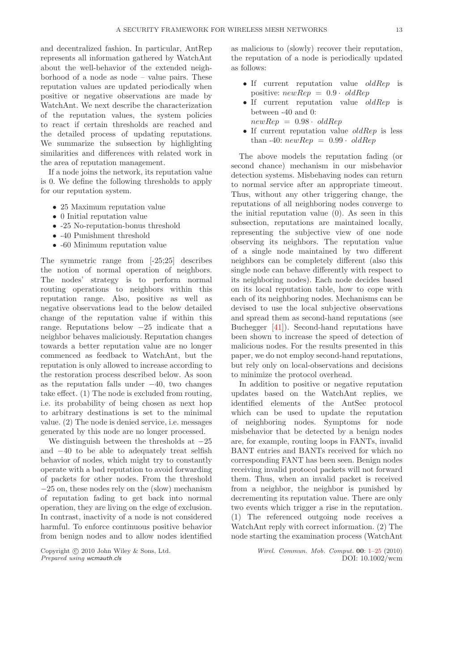and decentralized fashion. In particular, AntRep represents all information gathered by WatchAnt about the well-behavior of the extended neighborhood of a node as node – value pairs. These reputation values are updated periodically when positive or negative observations are made by WatchAnt. We next describe the characterization of the reputation values, the system policies to react if certain thresholds are reached and the detailed process of updating reputations. We summarize the subsection by highlighting similarities and differences with related work in the area of reputation management.

If a node joins the network, its reputation value is 0. We define the following thresholds to apply for our reputation system.

- 25 Maximum reputation value
- 0 Initial reputation value
- -25 No-reputation-bonus threshold
- -40 Punishment threshold
- -60 Minimum reputation value

The symmetric range from [-25;25] describes the notion of normal operation of neighbors. The nodes' strategy is to perform normal routing operations to neighbors within this reputation range. Also, positive as well as negative observations lead to the below detailed change of the reputation value if within this range. Reputations below −25 indicate that a neighbor behaves maliciously. Reputation changes towards a better reputation value are no longer commenced as feedback to WatchAnt, but the reputation is only allowed to increase according to the restoration process described below. As soon as the reputation falls under −40, two changes take effect. (1) The node is excluded from routing, i.e. its probability of being chosen as next hop to arbitrary destinations is set to the minimal value. (2) The node is denied service, i.e. messages generated by this node are no longer processed.

We distinguish between the thresholds at  $-25$ and −40 to be able to adequately treat selfish behavior of nodes, which might try to constantly operate with a bad reputation to avoid forwarding of packets for other nodes. From the threshold −25 on, these nodes rely on the (slow) mechanism of reputation fading to get back into normal operation, they are living on the edge of exclusion. In contrast, inactivity of a node is not considered harmful. To enforce continuous positive behavior from benign nodes and to allow nodes identified

as malicious to (slowly) recover their reputation, the reputation of a node is periodically updated as follows:

- If current reputation value  $oldRep$  is positive:  $newRep = 0.9 \cdot oldRep$
- If current reputation value  $oldRep$  is between -40 and 0:
- $newRep = 0.98 \cdot oldRep$
- If current reputation value  $oldRep$  is less than -40:  $newRep = 0.99 \cdot oldRep$

The above models the reputation fading (or second chance) mechanism in our misbehavior detection systems. Misbehaving nodes can return to normal service after an appropriate timeout. Thus, without any other triggering change, the reputations of all neighboring nodes converge to the initial reputation value (0). As seen in this subsection, reputations are maintained locally, representing the subjective view of one node observing its neighbors. The reputation value of a single node maintained by two different neighbors can be completely different (also this single node can behave differently with respect to its neighboring nodes). Each node decides based on its local reputation table, how to cope with each of its neighboring nodes. Mechanisms can be devised to use the local subjective observations and spread them as second-hand reputations (see Buchegger [41]). Second-hand reputations have been shown to increase the speed of detection of malicious nodes. For the results presented in this paper, we do not employ second-hand reputations, but rely only on local-observations and decisions to minimize the protocol overhead.

In addition to positive or negative reputation updates based on the WatchAnt replies, we identified elements of the AntSec protocol which can be used to update the reputation of neighboring nodes. Symptoms for node misbehavior that be detected by a benign nodes are, for example, routing loops in FANTs, invalid BANT entries and BANTs received for which no corresponding FANT has been seen. Benign nodes receiving invalid protocol packets will not forward them. Thus, when an invalid packet is received from a neighbor, the neighbor is punished by decrementing its reputation value. There are only two events which trigger a rise in the reputation. (1) The referenced outgoing node receives a WatchAnt reply with correct information. (2) The node starting the examination process (WatchAnt

Copyright  $\odot$  2010 John Wiley & Sons, Ltd. *Prepared using* wcmauth.cls

*Wirel. Commun. Mob. Comput.* 00: 1–25 (2010) DOI: 10.1002/wcm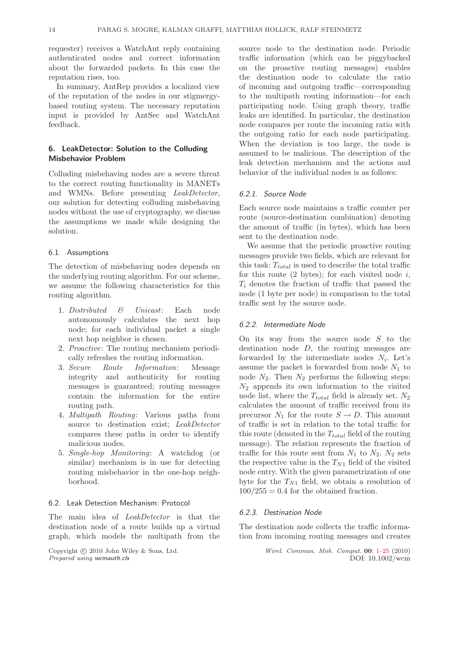requester) receives a WatchAnt reply containing authenticated nodes and correct information about the forwarded packets. In this case the reputation rises, too.

In summary, AntRep provides a localized view of the reputation of the nodes in our stigmergybased routing system. The necessary reputation input is provided by AntSec and WatchAnt feedback.

## 6. LeakDetector: Solution to the Colluding Misbehavior Problem

Colluding misbehaving nodes are a severe threat to the correct routing functionality in MANETs and WMNs. Before presenting LeakDetector, our solution for detecting colluding misbehaving nodes without the use of cryptography, we discuss the assumptions we made while designing the solution.

#### 6.1. Assumptions

The detection of misbehaving nodes depends on the underlying routing algorithm. For our scheme, we assume the following characteristics for this routing algorithm.

- 1. Distributed & Unicast: Each node autonomously calculates the next hop node; for each individual packet a single next hop neighbor is chosen.
- 2. Proactive: The routing mechanism periodically refreshes the routing information.
- 3. Secure Route Information: Message integrity and authenticity for routing messages is guaranteed; routing messages contain the information for the entire routing path.
- 4. Multipath Routing: Various paths from source to destination exist; LeakDetector compares these paths in order to identify malicious nodes.
- 5. Single-hop Monitoring: A watchdog (or similar) mechanism is in use for detecting routing misbehavior in the one-hop neighborhood.

#### 6.2. Leak Detection Mechanism: Protocol

The main idea of LeakDetector is that the destination node of a route builds up a virtual graph, which models the multipath from the

Copyright  $\odot$  2010 John Wiley & Sons, Ltd. *Prepared using* wcmauth.cls

source node to the destination node. Periodic traffic information (which can be piggybacked on the proactive routing messages) enables the destination node to calculate the ratio of incoming and outgoing traffic—corresponding to the multipath routing information—for each participating node. Using graph theory, traffic leaks are identified. In particular, the destination node compares per route the incoming ratio with the outgoing ratio for each node participating. When the deviation is too large, the node is assumed to be malicious. The description of the leak detection mechanism and the actions and behavior of the individual nodes is as follows:

## 6.2.1. Source Node

Each source node maintains a traffic counter per route (source-destination combination) denoting the amount of traffic (in bytes), which has been sent to the destination node.

We assume that the periodic proactive routing messages provide two fields, which are relevant for this task:  $T_{total}$  is used to describe the total traffic for this route  $(2 \text{ bytes})$ ; for each visited node i,  $T<sub>i</sub>$  denotes the fraction of traffic that passed the node (1 byte per node) in comparison to the total traffic sent by the source node.

## 6.2.2. Intermediate Node

On its way from the source node  $S$  to the destination node D, the routing messages are forwarded by the intermediate nodes  $N_i$ . Let's assume the packet is forwarded from node  $N_1$  to node  $N_2$ . Then  $N_2$  performs the following steps:  $N_2$  appends its own information to the visited node list, where the  $T_{total}$  field is already set.  $N_2$ calculates the amount of traffic received from its precursor  $N_1$  for the route  $S \to D$ . This amount of traffic is set in relation to the total traffic for this route (denoted in the  $T_{total}$  field of the routing message). The relation represents the fraction of traffic for this route sent from  $N_1$  to  $N_2$ .  $N_2$  sets the respective value in the  $T_{N1}$  field of the visited node entry. With the given parametrization of one byte for the  $T_{N1}$  field, we obtain a resolution of  $100/255 = 0.4$  for the obtained fraction.

#### 6.2.3. Destination Node

The destination node collects the traffic information from incoming routing messages and creates

*Wirel. Commun. Mob. Comput.* 00: 1–25 (2010) DOI: 10.1002/wcm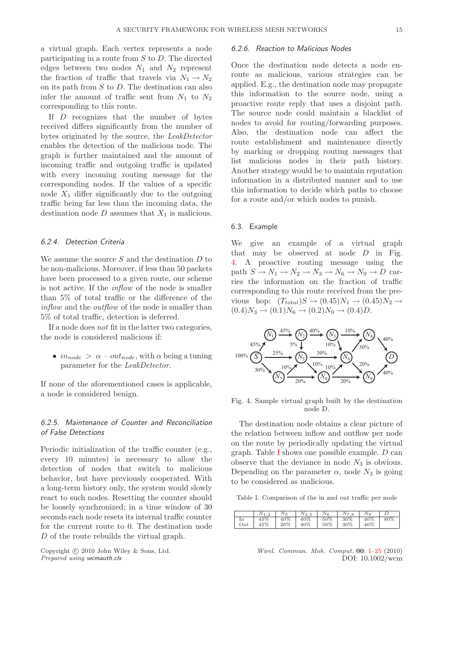a virtual graph. Each vertex represents a node participating in a route from  $S$  to  $D$ . The directed edges between two nodes  $N_1$  and  $N_2$  represent the fraction of traffic that travels via  $N_1 \rightarrow N_2$ on its path from  $S$  to  $D$ . The destination can also infer the amount of traffic sent from  $N_1$  to  $N_2$ corresponding to this route.

If D recognizes that the number of bytes received differs significantly from the number of bytes originated by the source, the LeakDetector enables the detection of the malicious node. The graph is further maintained and the amount of incoming traffic and outgoing traffic is updated with every incoming routing message for the corresponding nodes. If the values of a specific node  $X_1$  differ significantly due to the outgoing traffic being far less than the incoming data, the destination node  $D$  assumes that  $X_1$  is malicious.

## 6.2.4. Detection Criteria

We assume the source  $S$  and the destination  $D$  to be non-malicious. Moreover, if less than 50 packets have been processed to a given route, our scheme is not active. If the inflow of the node is smaller than 5% of total traffic or the difference of the inflow and the *outflow* of the node is smaller than 5% of total traffic, detection is deferred.

If a node does not fit in the latter two categories, the node is considered malicious if:

•  $in_{node} > \alpha \cdot out_{node}$ , with  $\alpha$  being a tuning parameter for the LeakDetector.

If none of the aforementioned cases is applicable, a node is considered benign.

# 6.2.5. Maintenance of Counter and Reconciliation of False Detections

Periodic initialization of the traffic counter (e.g., every 10 minutes) is necessary to allow the detection of nodes that switch to malicious behavior, but have previously cooperated. With a long-term history only, the system would slowly react to such nodes. Resetting the counter should be loosely synchronized; in a time window of 30 seconds each node resets its internal traffic counter for the current route to 0. The destination node D of the route rebuilds the virtual graph.

Copyright  $\odot$  2010 John Wiley & Sons, Ltd. *Prepared using* wcmauth.cls

## 6.2.6. Reaction to Malicious Nodes

Once the destination node detects a node enroute as malicious, various strategies can be applied. E.g., the destination node may propagate this information to the source node, using a proactive route reply that uses a disjoint path. The source node could maintain a blacklist of nodes to avoid for routing/forwarding purposes. Also, the destination node can affect the route establishment and maintenance directly by marking or dropping routing messages that list malicious nodes in their path history. Another strategy would be to maintain reputation information in a distributed manner and to use this information to decide which paths to choose for a route and/or which nodes to punish.

## 6.3. Example

We give an example of a virtual graph that may be observed at node  $D$  in Fig. 4. A proactive routing message using the path  $S \to N_1 \to N_2 \to N_3 \to N_6 \to N_9 \to D$  carries the information on the fraction of traffic corresponding to this route received from the previous hop:  $(T_{total})S \rightarrow (0.45)N_1 \rightarrow (0.45)N_2 \rightarrow$  $(0.4)N_3 \rightarrow (0.1)N_6 \rightarrow (0.2)N_9 \rightarrow (0.4)D.$ 



Fig. 4. Sample virtual graph built by the destination node D.

The destination node obtains a clear picture of the relation between inflow and outflow per node on the route by periodically updating the virtual graph. Table I shows one possible example. D can observe that the deviance in node  $N_3$  is obvious. Depending on the parameter  $\alpha$ , node  $N_3$  is going to be considered as malicious.

Table I. Comparison of the in and out traffic per node

|     | N.<br>ے ، | ${\rm v}_3$ | $V_{4,5}$ | $\mathcal{N}_6$ | . . | $\mathbf{v}_{\alpha}$ |     |
|-----|-----------|-------------|-----------|-----------------|-----|-----------------------|-----|
| 1n  | 45%       | $40\%$      | $40\%$    | 50%             | 30% | 40%                   | 80% |
| Out | 45%       | 20%         | 40%       | 50%             | 30% | 40%                   |     |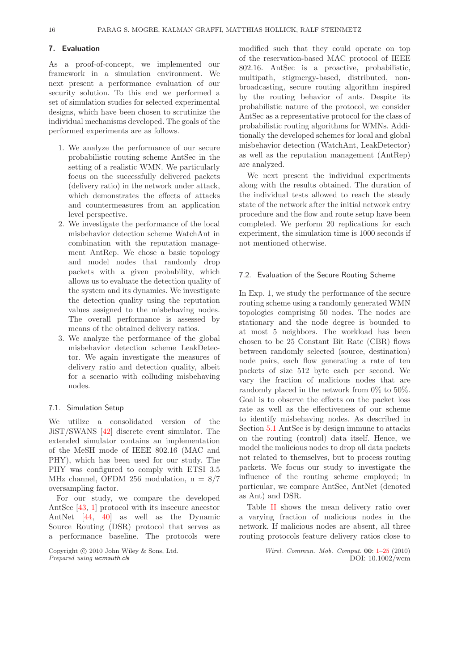# 7. Evaluation

As a proof-of-concept, we implemented our framework in a simulation environment. We next present a performance evaluation of our security solution. To this end we performed a set of simulation studies for selected experimental designs, which have been chosen to scrutinize the individual mechanisms developed. The goals of the performed experiments are as follows.

- 1. We analyze the performance of our secure probabilistic routing scheme AntSec in the setting of a realistic WMN. We particularly focus on the successfully delivered packets (delivery ratio) in the network under attack, which demonstrates the effects of attacks and countermeasures from an application level perspective.
- 2. We investigate the performance of the local misbehavior detection scheme WatchAnt in combination with the reputation management AntRep. We chose a basic topology and model nodes that randomly drop packets with a given probability, which allows us to evaluate the detection quality of the system and its dynamics. We investigate the detection quality using the reputation values assigned to the misbehaving nodes. The overall performance is assessed by means of the obtained delivery ratios.
- 3. We analyze the performance of the global misbehavior detection scheme LeakDetector. We again investigate the measures of delivery ratio and detection quality, albeit for a scenario with colluding misbehaving nodes.

#### 7.1. Simulation Setup

We utilize a consolidated version of the JiST/SWANS [42] discrete event simulator. The extended simulator contains an implementation of the MeSH mode of IEEE 802.16 (MAC and PHY), which has been used for our study. The PHY was configured to comply with ETSI 3.5 MHz channel, OFDM 256 modulation,  $n = 8/7$ oversampling factor.

For our study, we compare the developed AntSec [43, 1] protocol with its insecure ancestor AntNet [44, 40] as well as the Dynamic Source Routing (DSR) protocol that serves as a performance baseline. The protocols were modified such that they could operate on top of the reservation-based MAC protocol of IEEE 802.16. AntSec is a proactive, probabilistic, multipath, stigmergy-based, distributed, nonbroadcasting, secure routing algorithm inspired by the routing behavior of ants. Despite its probabilistic nature of the protocol, we consider AntSec as a representative protocol for the class of probabilistic routing algorithms for WMNs. Additionally the developed schemes for local and global misbehavior detection (WatchAnt, LeakDetector) as well as the reputation management (AntRep) are analyzed.

We next present the individual experiments along with the results obtained. The duration of the individual tests allowed to reach the steady state of the network after the initial network entry procedure and the flow and route setup have been completed. We perform 20 replications for each experiment, the simulation time is 1000 seconds if not mentioned otherwise.

#### 7.2. Evaluation of the Secure Routing Scheme

In Exp. 1, we study the performance of the secure routing scheme using a randomly generated WMN topologies comprising 50 nodes. The nodes are stationary and the node degree is bounded to at most 5 neighbors. The workload has been chosen to be 25 Constant Bit Rate (CBR) flows between randomly selected (source, destination) node pairs, each flow generating a rate of ten packets of size 512 byte each per second. We vary the fraction of malicious nodes that are randomly placed in the network from 0% to 50%. Goal is to observe the effects on the packet loss rate as well as the effectiveness of our scheme to identify misbehaving nodes. As described in Section 5.1 AntSec is by design immune to attacks on the routing (control) data itself. Hence, we model the malicious nodes to drop all data packets not related to themselves, but to process routing packets. We focus our study to investigate the influence of the routing scheme employed; in particular, we compare AntSec, AntNet (denoted as Ant) and DSR.

Table II shows the mean delivery ratio over a varying fraction of malicious nodes in the network. If malicious nodes are absent, all three routing protocols feature delivery ratios close to

Copyright  $\odot$  2010 John Wiley & Sons, Ltd. *Prepared using* wcmauth.cls

*Wirel. Commun. Mob. Comput.* 00: 1–25 (2010) DOI: 10.1002/wcm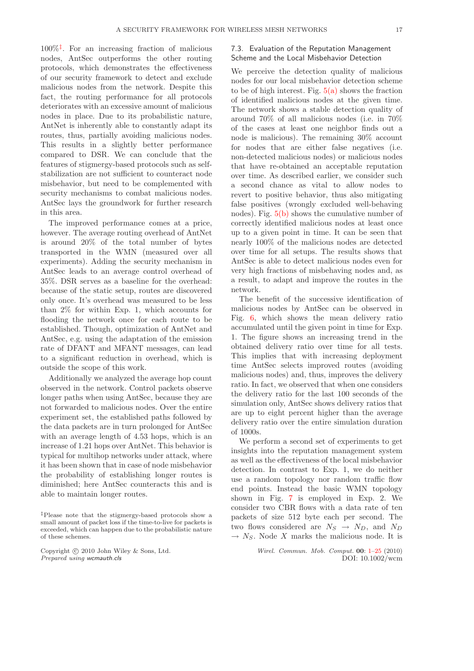$100\%^{\ddagger}$ . For an increasing fraction of malicious nodes, AntSec outperforms the other routing protocols, which demonstrates the effectiveness of our security framework to detect and exclude malicious nodes from the network. Despite this fact, the routing performance for all protocols deteriorates with an excessive amount of malicious nodes in place. Due to its probabilistic nature, AntNet is inherently able to constantly adapt its routes, thus, partially avoiding malicious nodes. This results in a slightly better performance compared to DSR. We can conclude that the features of stigmergy-based protocols such as selfstabilization are not sufficient to counteract node misbehavior, but need to be complemented with security mechanisms to combat malicious nodes. AntSec lays the groundwork for further research in this area.

The improved performance comes at a price, however. The average routing overhead of AntNet is around 20% of the total number of bytes transported in the WMN (measured over all experiments). Adding the security mechanism in AntSec leads to an average control overhead of 35%. DSR serves as a baseline for the overhead: because of the static setup, routes are discovered only once. It's overhead was measured to be less than 2% for within Exp. 1, which accounts for flooding the network once for each route to be established. Though, optimization of AntNet and AntSec, e.g. using the adaptation of the emission rate of DFANT and MFANT messages, can lead to a significant reduction in overhead, which is outside the scope of this work.

Additionally we analyzed the average hop count observed in the network. Control packets observe longer paths when using AntSec, because they are not forwarded to malicious nodes. Over the entire experiment set, the established paths followed by the data packets are in turn prolonged for AntSec with an average length of 4.53 hops, which is an increase of 1.21 hops over AntNet. This behavior is typical for multihop networks under attack, where it has been shown that in case of node misbehavior the probability of establishing longer routes is diminished; here AntSec counteracts this and is able to maintain longer routes.

# 7.3. Evaluation of the Reputation Management Scheme and the Local Misbehavior Detection

We perceive the detection quality of malicious nodes for our local misbehavior detection scheme to be of high interest. Fig.  $5(a)$  shows the fraction of identified malicious nodes at the given time. The network shows a stable detection quality of around 70% of all malicious nodes (i.e. in 70% of the cases at least one neighbor finds out a node is malicious). The remaining 30% account for nodes that are either false negatives (i.e. non-detected malicious nodes) or malicious nodes that have re-obtained an acceptable reputation over time. As described earlier, we consider such a second chance as vital to allow nodes to revert to positive behavior, thus also mitigating false positives (wrongly excluded well-behaving nodes). Fig. 5(b) shows the cumulative number of correctly identified malicious nodes at least once up to a given point in time. It can be seen that nearly 100% of the malicious nodes are detected over time for all setups. The results shows that AntSec is able to detect malicious nodes even for very high fractions of misbehaving nodes and, as a result, to adapt and improve the routes in the network.

The benefit of the successive identification of malicious nodes by AntSec can be observed in Fig. 6, which shows the mean delivery ratio accumulated until the given point in time for Exp. 1. The figure shows an increasing trend in the obtained delivery ratio over time for all tests. This implies that with increasing deployment time AntSec selects improved routes (avoiding malicious nodes) and, thus, improves the delivery ratio. In fact, we observed that when one considers the delivery ratio for the last 100 seconds of the simulation only, AntSec shows delivery ratios that are up to eight percent higher than the average delivery ratio over the entire simulation duration of 1000s.

We perform a second set of experiments to get insights into the reputation management system as well as the effectiveness of the local misbehavior detection. In contrast to Exp. 1, we do neither use a random topology nor random traffic flow end points. Instead the basic WMN topology shown in Fig. 7 is employed in Exp. 2. We consider two CBR flows with a data rate of ten packets of size 512 byte each per second. The two flows considered are  $N_S \rightarrow N_D$ , and  $N_D$  $\rightarrow$  N<sub>S</sub>. Node X marks the malicious node. It is

<sup>‡</sup>Please note that the stigmergy-based protocols show a small amount of packet loss if the time-to-live for packets is exceeded, which can happen due to the probabilistic nature of these schemes.

Copyright  $\odot$  2010 John Wiley & Sons, Ltd. *Prepared using* wcmauth.cls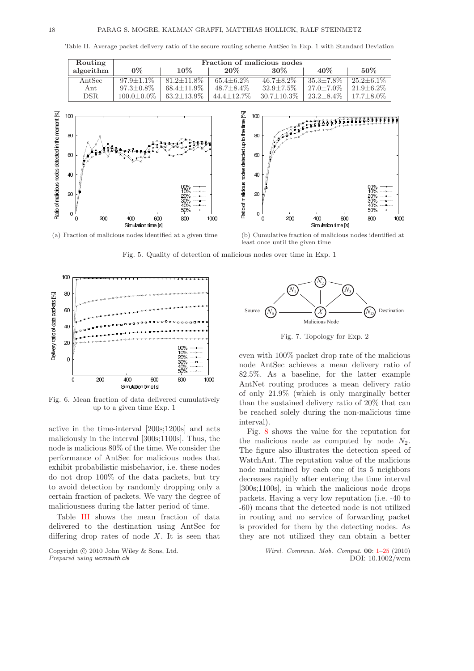Table II. Average packet delivery ratio of the secure routing scheme AntSec in Exp. 1 with Standard Deviation



(a) Fraction of malicious nodes identified at a given time (b) Cumulative fraction of malicious nodes identified at least once until the given time

Fig. 5. Quality of detection of malicious nodes over time in Exp. 1



Fig. 6. Mean fraction of data delivered cumulatively up to a given time Exp. 1

active in the time-interval [200s;1200s] and acts maliciously in the interval [300s;1100s]. Thus, the node is malicious 80% of the time. We consider the performance of AntSec for malicious nodes that exhibit probabilistic misbehavior, i.e. these nodes do not drop 100% of the data packets, but try to avoid detection by randomly dropping only a certain fraction of packets. We vary the degree of maliciousness during the latter period of time.

Table III shows the mean fraction of data delivered to the destination using AntSec for differing drop rates of node  $X$ . It is seen that



Fig. 7. Topology for Exp. 2

even with 100% packet drop rate of the malicious node AntSec achieves a mean delivery ratio of 82.5%. As a baseline, for the latter example AntNet routing produces a mean delivery ratio of only 21.9% (which is only marginally better than the sustained delivery ratio of 20% that can be reached solely during the non-malicious time interval).

Fig. 8 shows the value for the reputation for the malicious node as computed by node  $N_2$ . The figure also illustrates the detection speed of WatchAnt. The reputation value of the malicious node maintained by each one of its 5 neighbors decreases rapidly after entering the time interval [300s;1100s], in which the malicious node drops packets. Having a very low reputation (i.e. -40 to -60) means that the detected node is not utilized in routing and no service of forwarding packet is provided for them by the detecting nodes. As they are not utilized they can obtain a better

Copyright  $\odot$  2010 John Wiley & Sons, Ltd. *Prepared using* wcmauth.cls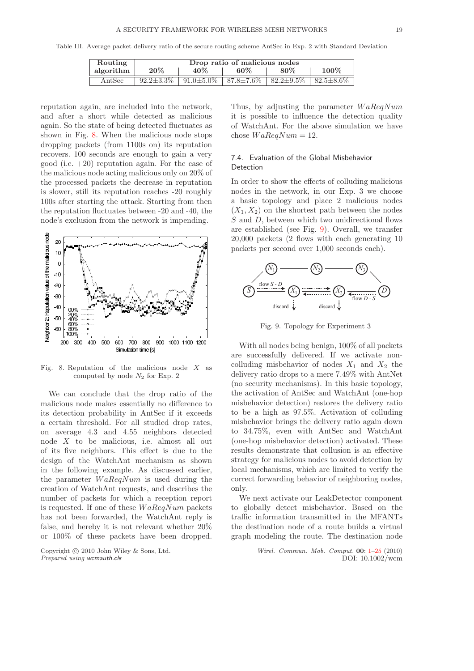Table III. Average packet delivery ratio of the secure routing scheme AntSec in Exp. 2 with Standard Deviation

| Routing   |         |        | Drop ratio of malicious nodes                                                      |      |         |
|-----------|---------|--------|------------------------------------------------------------------------------------|------|---------|
| algorithm | $20 \%$ | $40\%$ | $60\%$                                                                             | -80% | $100\%$ |
| AntSec    |         |        | $92.2\pm3.3\%$   $91.0\pm5.0\%$   $87.8\pm7.6\%$   $82.2\pm9.5\%$   $82.5\pm8.6\%$ |      |         |

reputation again, are included into the network, and after a short while detected as malicious again. So the state of being detected fluctuates as shown in Fig. 8. When the malicious node stops dropping packets (from 1100s on) its reputation recovers. 100 seconds are enough to gain a very good (i.e. +20) reputation again. For the case of the malicious node acting malicious only on 20% of the processed packets the decrease in reputation is slower, still its reputation reaches -20 roughly 100s after starting the attack. Starting from then the reputation fluctuates between -20 and -40, the node's exclusion from the network is impending.



Fig. 8. Reputation of the malicious node  $X$  as computed by node  $N_2$  for Exp. 2

We can conclude that the drop ratio of the malicious node makes essentially no difference to its detection probability in AntSec if it exceeds a certain threshold. For all studied drop rates, on average 4.3 and 4.55 neighbors detected node  $X$  to be malicious, i.e. almost all out of its five neighbors. This effect is due to the design of the WatchAnt mechanism as shown in the following example. As discussed earlier, the parameter  $WaRegNum$  is used during the creation of WatchAnt requests, and describes the number of packets for which a reception report is requested. If one of these  $WaRegNum$  packets has not been forwarded, the WatchAnt reply is false, and hereby it is not relevant whether 20% or 100% of these packets have been dropped.

Thus, by adjusting the parameter  $W a RegNum$ it is possible to influence the detection quality of WatchAnt. For the above simulation we have chose  $WaRegNum = 12$ .

## 7.4. Evaluation of the Global Misbehavior Detection

In order to show the effects of colluding malicious nodes in the network, in our Exp. 3 we choose a basic topology and place 2 malicious nodes  $(X_1, X_2)$  on the shortest path between the nodes S and D, between which two unidirectional flows are established (see Fig. 9). Overall, we transfer 20,000 packets (2 flows with each generating 10 packets per second over 1,000 seconds each).



Fig. 9. Topology for Experiment 3

With all nodes being benign, 100% of all packets are successfully delivered. If we activate noncolluding misbehavior of nodes  $X_1$  and  $X_2$  the delivery ratio drops to a mere 7.49% with AntNet (no security mechanisms). In this basic topology, the activation of AntSec and WatchAnt (one-hop misbehavior detection) restores the delivery ratio to be a high as 97.5%. Activation of colluding misbehavior brings the delivery ratio again down to 34.75%, even with AntSec and WatchAnt (one-hop misbehavior detection) activated. These results demonstrate that collusion is an effective strategy for malicious nodes to avoid detection by local mechanisms, which are limited to verify the correct forwarding behavior of neighboring nodes, only.

We next activate our LeakDetector component to globally detect misbehavior. Based on the traffic information transmitted in the MFANTs the destination node of a route builds a virtual graph modeling the route. The destination node

Copyright  $\odot$  2010 John Wiley & Sons, Ltd. *Prepared using* wcmauth.cls

*Wirel. Commun. Mob. Comput.* 00: 1–25 (2010) DOI: 10.1002/wcm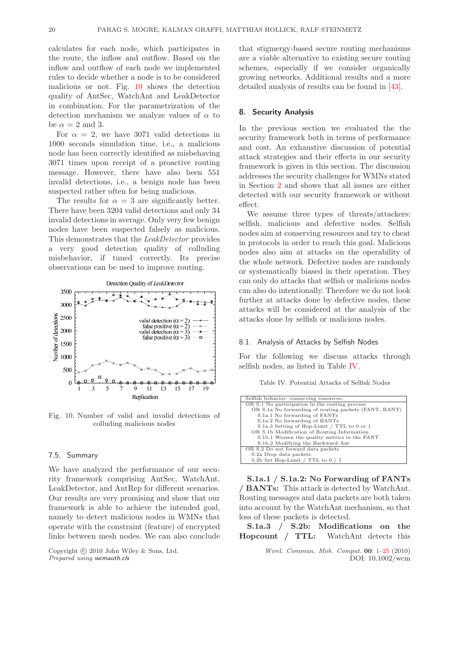calculates for each node, which participates in the route, the inflow and outflow. Based on the inflow and outflow of each node we implemented rules to decide whether a node is to be considered malicious or not. Fig. 10 shows the detection quality of AntSec, WatchAnt and LeakDetector in combination. For the parametrization of the detection mechanism we analyze values of  $\alpha$  to be  $\alpha = 2$  and 3.

For  $\alpha = 2$ , we have 3071 valid detections in 1000 seconds simulation time, i.e., a malicious node has been correctly identified as misbehaving 3071 times upon receipt of a proactive routing message. However, there have also been 551 invalid detections, i.e., a benign node has been suspected rather often for being malicious.

The results for  $\alpha = 3$  are significantly better. There have been 3204 valid detections and only 34 invalid detections in average. Only very few benign nodes have been suspected falsely as malicious. This demonstrates that the LeakDetector provides a very good detection quality of colluding misbehavior, if tuned correctly. Its precise observations can be used to improve routing.



Fig. 10. Number of valid and invalid detections of colluding malicious nodes

#### 7.5. Summary

We have analyzed the performance of our security framework comprising AntSec, WatchAnt, LeakDetector, and AntRep for different scenarios. Our results are very promising and show that our framework is able to achieve the intended goal, namely to detect malicious nodes in WMNs that operate with the constraint (feature) of encrypted links between mesh nodes. We can also conclude

Copyright  $\odot$  2010 John Wiley & Sons, Ltd. *Prepared using* wcmauth.cls

that stigmergy-based secure routing mechanisms are a viable alternative to existing secure routing schemes, especially if we consider organically growing networks. Additional results and a more detailed analysis of results can be found in [43].

## 8. Security Analysis

In the previous section we evaluated the the security framework both in terms of performance and cost. An exhaustive discussion of potential attack strategies and their effects in our security framework is given in this section. The discussion addresses the security challenges for WMNs stated in Section 2 and shows that all issues are either detected with our security framework or without effect.

We assume three types of threats/attackers: selfish, malicious and defective nodes. Selfish nodes aim at conserving resources and try to cheat in protocols in order to reach this goal. Malicious nodes also aim at attacks on the operability of the whole network. Defective nodes are randomly or systematically biased in their operation. They can only do attacks that selfish or malicious nodes can also do intentionally. Therefore we do not look further at attacks done by defective nodes, these attacks will be considered at the analysis of the attacks done by selfish or malicious nodes.

## 8.1. Analysis of Attacks by Selfish Nodes

For the following we discuss attacks through selfish nodes, as listed in Table IV.

Table IV. Potential Attacks of Selfish Nodes

| Selfish behavior: conserving resources.               |
|-------------------------------------------------------|
| OR S.1 No participation in the routing process        |
| OR S.1a No forwarding of routing packets (FANT, BANT) |
| S.1a.1 No forwarding of FANTs                         |
| S.1a.2 No forwarding of BANTs                         |
| S.1a.3 Setting of Hop-Limit / TTL to 0 or 1           |
| OR S.1b Modification of Routing Information           |
| S.1b.1 Worsen the quality metrics in the FANT         |
| S.1b.2 Modifying the Backward Ant                     |
| OR S.2 Do not forward data packets                    |
| S.2a Drop data packets                                |
| S.2b Set Hop-Limit / TTL to 0 / 1                     |
|                                                       |

S.1a.1 / S.1a.2: No Forwarding of FANTs / BANTs: This attack is detected by WatchAnt. Routing messages and data packets are both taken into account by the WatchAnt mechanism, so that loss of these packets is detected.

S.1a.3 / S.2b: Modifications on the Hopcount / TTL: WatchAnt detects this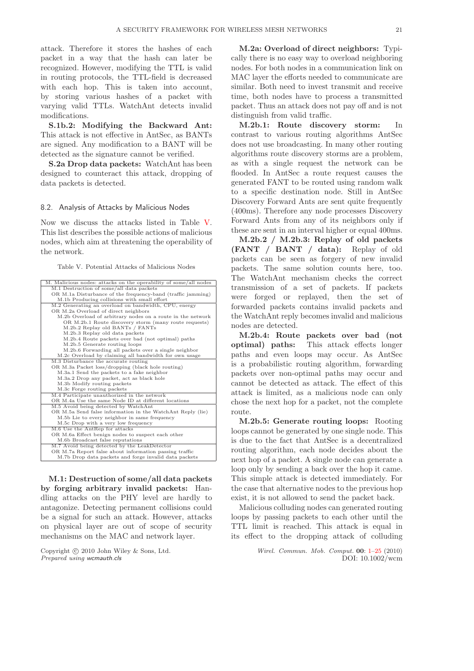attack. Therefore it stores the hashes of each packet in a way that the hash can later be recognized. However, modifying the TTL is valid in routing protocols, the TTL-field is decreased with each hop. This is taken into account, by storing various hashes of a packet with varying valid TTLs. WatchAnt detects invalid modifications.

S.1b.2: Modifying the Backward Ant: This attack is not effective in AntSec, as BANTs are signed. Any modification to a BANT will be detected as the signature cannot be verified.

S.2a Drop data packets: WatchAnt has been designed to counteract this attack, dropping of data packets is detected.

## 8.2. Analysis of Attacks by Malicious Nodes

Now we discuss the attacks listed in Table V. This list describes the possible actions of malicious nodes, which aim at threatening the operability of the network.

Table V. Potential Attacks of Malicious Nodes

| M. Malicious nodes: attacks on the operability of some/all nodes |
|------------------------------------------------------------------|
| M.1 Destruction of some/all data packets                         |
| OR M.1a Disturbance of the frequency-band (traffic jamming)      |
| M.1b Producing collisions with small effort                      |
| M.2 Generating an overload on bandwidth, CPU, energy             |
| OR M.2a Overload of direct neighbors                             |
| M.2b Overload of arbitrary nodes on a route in the network       |
| OR M.2b.1 Route discovery storm (many route requests)            |
| M.2b.2 Replay old BANTs / FANTs                                  |
| M.2b.3 Replay old data packets                                   |
| M.2b.4 Route packets over bad (not optimal) paths                |
| M.2b.5 Generate routing loops                                    |
| M.2b.6 Forwarding all packets over a single neighbor             |
| M.2c Overload by claiming all bandwidth for own usage            |
| M.3 Disturbance the accurate routing                             |
| OR M.3a Packet loss/dropping (black hole routing)                |
| M.3a.1 Send the packets to a fake neighbor                       |
| M.3a.2 Drop any packet, act as black hole                        |
| M.3b Modify routing packets                                      |
| M.3c Forge routing packets                                       |
| M.4 Participate unauthorized in the network                      |
| OR M.4a Use the same Node ID at different locations              |
| M.5 Avoid being detected by WatchAnt                             |
| OR M.5a Send false information in the WatchAnt Reply (lie)       |
| M.5b Lie to every neighbor in same frequency                     |
| M.5c Drop with a very low frequency                              |
| M.6 Use the AntRep for attacks                                   |
| OR M.6a Effect benign nodes to suspect each other                |
| M.6b Broadcast false reputations                                 |
| M.7 Avoid being detected by the LeakDetector                     |
| OR M.7a Report false about information passing traffic           |
| M.7b Drop data packets and forge invalid data packets            |

M.1: Destruction of some/all data packets by forging arbitrary invalid packets: Handling attacks on the PHY level are hardly to antagonize. Detecting permanent collisions could be a signal for such an attack. However, attacks on physical layer are out of scope of security mechanisms on the MAC and network layer.

Copyright  $\odot$  2010 John Wiley & Sons, Ltd. *Prepared using* wcmauth.cls

M.2a: Overload of direct neighbors: Typically there is no easy way to overload neighboring nodes. For both nodes in a communication link on MAC layer the efforts needed to communicate are similar. Both need to invest transmit and receive time, both nodes have to process a transmitted packet. Thus an attack does not pay off and is not distinguish from valid traffic.

M.2b.1: Route discovery storm: In contrast to various routing algorithms AntSec does not use broadcasting. In many other routing algorithms route discovery storms are a problem, as with a single request the network can be flooded. In AntSec a route request causes the generated FANT to be routed using random walk to a specific destination node. Still in AntSec Discovery Forward Ants are sent quite frequently (400ms). Therefore any node processes Discovery Forward Ants from any of its neighbors only if these are sent in an interval higher or equal 400ms.

M.2b.2 / M.2b.3: Replay of old packets (FANT / BANT / data): Replay of old packets can be seen as forgery of new invalid packets. The same solution counts here, too. The WatchAnt mechanism checks the correct transmission of a set of packets. If packets were forged or replayed, then the set of forwarded packets contains invalid packets and the WatchAnt reply becomes invalid and malicious nodes are detected.

M.2b.4: Route packets over bad (not optimal) paths: This attack effects longer paths and even loops may occur. As AntSec is a probabilistic routing algorithm, forwarding packets over non-optimal paths may occur and cannot be detected as attack. The effect of this attack is limited, as a malicious node can only chose the next hop for a packet, not the complete route.

M.2b.5: Generate routing loops: Rooting loops cannot be generated by one single node. This is due to the fact that AntSec is a decentralized routing algorithm, each node decides about the next hop of a packet. A single node can generate a loop only by sending a back over the hop it came. This simple attack is detected immediately. For the case that alternative nodes to the previous hop exist, it is not allowed to send the packet back.

Malicious colluding nodes can generated routing loops by passing packets to each other until the TTL limit is reached. This attack is equal in its effect to the dropping attack of colluding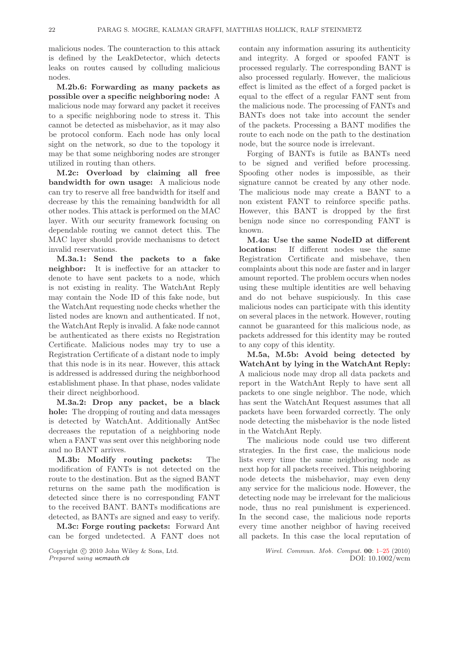malicious nodes. The counteraction to this attack is defined by the LeakDetector, which detects leaks on routes caused by colluding malicious nodes.

M.2b.6: Forwarding as many packets as possible over a specific neighboring node: A malicious node may forward any packet it receives to a specific neighboring node to stress it. This cannot be detected as misbehavior, as it may also be protocol conform. Each node has only local sight on the network, so due to the topology it may be that some neighboring nodes are stronger utilized in routing than others.

M.2c: Overload by claiming all free bandwidth for own usage: A malicious node can try to reserve all free bandwidth for itself and decrease by this the remaining bandwidth for all other nodes. This attack is performed on the MAC layer. With our security framework focusing on dependable routing we cannot detect this. The MAC layer should provide mechanisms to detect invalid reservations.

M.3a.1: Send the packets to a fake neighbor: It is ineffective for an attacker to denote to have sent packets to a node, which is not existing in reality. The WatchAnt Reply may contain the Node ID of this fake node, but the WatchAnt requesting node checks whether the listed nodes are known and authenticated. If not, the WatchAnt Reply is invalid. A fake node cannot be authenticated as there exists no Registration Certificate. Malicious nodes may try to use a Registration Certificate of a distant node to imply that this node is in its near. However, this attack is addressed is addressed during the neighborhood establishment phase. In that phase, nodes validate their direct neighborhood.

M.3a.2: Drop any packet, be a black hole: The dropping of routing and data messages is detected by WatchAnt. Additionally AntSec decreases the reputation of a neighboring node when a FANT was sent over this neighboring node and no BANT arrives.

M.3b: Modify routing packets: The modification of FANTs is not detected on the route to the destination. But as the signed BANT returns on the same path the modification is detected since there is no corresponding FANT to the received BANT. BANTs modifications are detected, as BANTs are signed and easy to verify.

M.3c: Forge routing packets: Forward Ant can be forged undetected. A FANT does not contain any information assuring its authenticity and integrity. A forged or spoofed FANT is processed regularly. The corresponding BANT is also processed regularly. However, the malicious effect is limited as the effect of a forged packet is equal to the effect of a regular FANT sent from the malicious node. The processing of FANTs and BANTs does not take into account the sender of the packets. Processing a BANT modifies the route to each node on the path to the destination node, but the source node is irrelevant.

Forging of BANTs is futile as BANTs need to be signed and verified before processing. Spoofing other nodes is impossible, as their signature cannot be created by any other node. The malicious node may create a BANT to a non existent FANT to reinforce specific paths. However, this BANT is dropped by the first benign node since no corresponding FANT is known.

M.4a: Use the same NodeID at different locations: If different nodes use the same Registration Certificate and misbehave, then complaints about this node are faster and in larger amount reported. The problem occurs when nodes using these multiple identities are well behaving and do not behave suspiciously. In this case malicious nodes can participate with this identity on several places in the network. However, routing cannot be guaranteed for this malicious node, as packets addressed for this identity may be routed to any copy of this identity.

M.5a, M.5b: Avoid being detected by WatchAnt by lying in the WatchAnt Reply: A malicious node may drop all data packets and report in the WatchAnt Reply to have sent all packets to one single neighbor. The node, which has sent the WatchAnt Request assumes that all packets have been forwarded correctly. The only node detecting the misbehavior is the node listed in the WatchAnt Reply.

The malicious node could use two different strategies. In the first case, the malicious node lists every time the same neighboring node as next hop for all packets received. This neighboring node detects the misbehavior, may even deny any service for the malicious node. However, the detecting node may be irrelevant for the malicious node, thus no real punishment is experienced. In the second case, the malicious node reports every time another neighbor of having received all packets. In this case the local reputation of

Copyright  $\odot$  2010 John Wiley & Sons, Ltd. *Prepared using* wcmauth.cls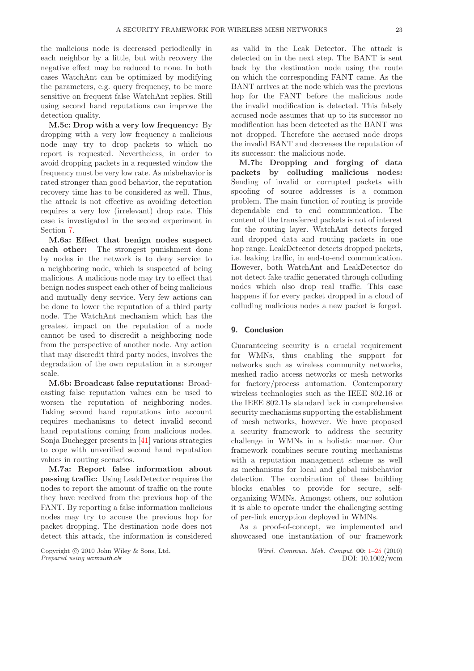the malicious node is decreased periodically in each neighbor by a little, but with recovery the negative effect may be reduced to none. In both cases WatchAnt can be optimized by modifying the parameters, e.g. query frequency, to be more sensitive on frequent false WatchAnt replies. Still using second hand reputations can improve the detection quality.

M.5c: Drop with a very low frequency: By dropping with a very low frequency a malicious node may try to drop packets to which no report is requested. Nevertheless, in order to avoid dropping packets in a requested window the frequency must be very low rate. As misbehavior is rated stronger than good behavior, the reputation recovery time has to be considered as well. Thus, the attack is not effective as avoiding detection requires a very low (irrelevant) drop rate. This case is investigated in the second experiment in Section 7.

M.6a: Effect that benign nodes suspect each other: The strongest punishment done by nodes in the network is to deny service to a neighboring node, which is suspected of being malicious. A malicious node may try to effect that benign nodes suspect each other of being malicious and mutually deny service. Very few actions can be done to lower the reputation of a third party node. The WatchAnt mechanism which has the greatest impact on the reputation of a node cannot be used to discredit a neighboring node from the perspective of another node. Any action that may discredit third party nodes, involves the degradation of the own reputation in a stronger scale.

M.6b: Broadcast false reputations: Broadcasting false reputation values can be used to worsen the reputation of neighboring nodes. Taking second hand reputations into account requires mechanisms to detect invalid second hand reputations coming from malicious nodes. Sonja Buchegger presents in [41] various strategies to cope with unverified second hand reputation values in routing scenarios.

M.7a: Report false information about passing traffic: Using LeakDetector requires the nodes to report the amount of traffic on the route they have received from the previous hop of the FANT. By reporting a false information malicious nodes may try to accuse the previous hop for packet dropping. The destination node does not detect this attack, the information is considered

as valid in the Leak Detector. The attack is detected on in the next step. The BANT is sent back by the destination node using the route on which the corresponding FANT came. As the BANT arrives at the node which was the previous hop for the FANT before the malicious node the invalid modification is detected. This falsely accused node assumes that up to its successor no modification has been detected as the BANT was not dropped. Therefore the accused node drops the invalid BANT and decreases the reputation of its successor: the malicious node.

M.7b: Dropping and forging of data packets by colluding malicious nodes: Sending of invalid or corrupted packets with spoofing of source addresses is a common problem. The main function of routing is provide dependable end to end communication. The content of the transferred packets is not of interest for the routing layer. WatchAnt detects forged and dropped data and routing packets in one hop range. LeakDetector detects dropped packets, i.e. leaking traffic, in end-to-end communication. However, both WatchAnt and LeakDetector do not detect fake traffic generated through colluding nodes which also drop real traffic. This case happens if for every packet dropped in a cloud of colluding malicious nodes a new packet is forged.

## 9. Conclusion

Guaranteeing security is a crucial requirement for WMNs, thus enabling the support for networks such as wireless community networks, meshed radio access networks or mesh networks for factory/process automation. Contemporary wireless technologies such as the IEEE 802.16 or the IEEE 802.11s standard lack in comprehensive security mechanisms supporting the establishment of mesh networks, however. We have proposed a security framework to address the security challenge in WMNs in a holistic manner. Our framework combines secure routing mechanisms with a reputation management scheme as well as mechanisms for local and global misbehavior detection. The combination of these building blocks enables to provide for secure, selforganizing WMNs. Amongst others, our solution it is able to operate under the challenging setting of per-link encryption deployed in WMNs.

As a proof-of-concept, we implemented and showcased one instantiation of our framework

Copyright  $\odot$  2010 John Wiley & Sons, Ltd. *Prepared using* wcmauth.cls

*Wirel. Commun. Mob. Comput.* 00: 1–25 (2010) DOI: 10.1002/wcm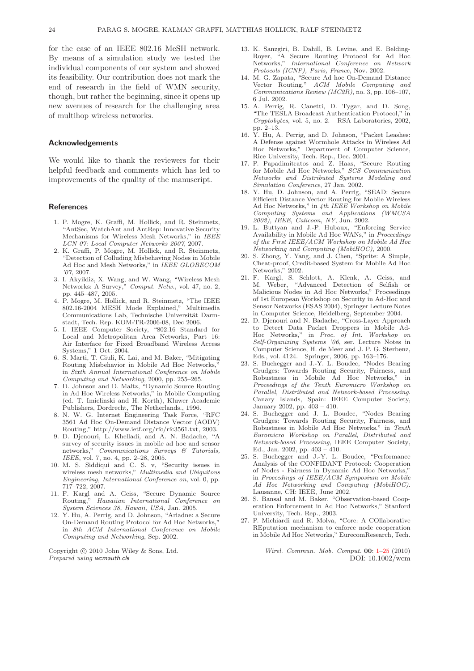for the case of an IEEE 802.16 MeSH network. By means of a simulation study we tested the individual components of our system and showed its feasibility. Our contribution does not mark the end of research in the field of WMN security, though, but rather the beginning, since it opens up new avenues of research for the challenging area of multihop wireless networks.

## Acknowledgements

We would like to thank the reviewers for their helpful feedback and comments which has led to improvements of the quality of the manuscript.

#### References

- 1. P. Mogre, K. Graffi, M. Hollick, and R. Steinmetz, "AntSec, WatchAnt and AntRep: Innovative Security Mechanisms for Wireless Mesh Networks," in *IEEE LCN 07: Local Computer Networks 2007*, 2007.
- 2. K. Graffi, P. Mogre, M. Hollick, and R. Steinmetz, "Detection of Colluding Misbehaving Nodes in Mobile Ad Hoc and Mesh Networks," in *IEEE GLOBECOM '07*, 2007.
- 3. I. Akyildiz, X. Wang, and W. Wang, "Wireless Mesh Networks: A Survey," *Comput. Netw.*, vol. 47, no. 2, pp. 445–487, 2005.
- 4. P. Mogre, M. Hollick, and R. Steinmetz, "The IEEE 802.16-2004 MESH Mode Explained," Multimedia Communications Lab, Technische Universität Darmstadt, Tech. Rep. KOM-TR-2006-08, Dec 2006.
- 5. I. IEEE Computer Society, "802.16 Standard for Local and Metropolitan Area Networks, Part 16: Air Interface for Fixed Broadband Wireless Access Systems," 1 Oct. 2004.
- 6. S. Marti, T. Giuli, K. Lai, and M. Baker, "Mitigating Routing Misbehavior in Mobile Ad Hoc Networks," in *Sixth Annual International Conference on Mobile Computing and Networking*, 2000, pp. 255–265.
- 7. D. Johnson and D. Maltz, "Dynamic Source Routing in Ad Hoc Wireless Networks," in Mobile Computing (ed. T. Imielinski and H. Korth), Kluwer Academic Publishers, Dordrecht, The Netherlands., 1996.
- 8. N. W. G. Internet Engineering Task Force, "RFC 3561 Ad Hoc On-Demand Distance Vector (AODV) Routing," http://www.ietf.org/rfc/rfc3561.txt, 2003.
- 9. D. Djenouri, L. Khelladi, and A. N. Badache, "A survey of security issues in mobile ad hoc and sensor networks," *Communications Surveys & Tutorials, IEEE*, vol. 7, no. 4, pp. 2–28, 2005.
- 10. M. S. Siddiqui and C. S. v, "Security issues in wireless mesh networks," *Multimedia and Ubiquitous Engineering, International Conference on*, vol. 0, pp. 717–722, 2007.
- 11. F. Kargl and A. Geiss, "Secure Dynamic Source Routing," *Hawaiian International Conference on System Sciences 38, Hawaii, USA*, Jan. 2005.
- 12. Y. Hu, A. Perrig, and D. Johnson, "Ariadne: a Secure On-Demand Routing Protocol for Ad Hoc Networks, in *8th ACM International Conference on Mobile Computing and Networking*, Sep. 2002.

Copyright  $\odot$  2010 John Wiley & Sons, Ltd. *Prepared using* wcmauth.cls

- 13. K. Sanzgiri, B. Dahill, B. Levine, and E. Belding-Royer, "A Secure Routing Protocol for Ad Hoc<br>Networks." International Conference on Network Networks," *International Conference on Network Protocols (ICNP), Paris, France*, Nov. 2002.
- 14. M. G. Zapata, "Secure Ad hoc On-Demand Distance Vector Routing," *ACM Mobile Computing and Communications Review (MC2R)*, no. 3, pp. 106–107, 6 Jul. 2002.
- 15. A. Perrig, R. Canetti, D. Tygar, and D. Song, "The TESLA Broadcast Authentication Protocol," in *Cryptobytes*, vol. 5, no. 2. RSA Laboratories, 2002, pp. 2–13.
- 16. Y. Hu, A. Perrig, and D. Johnson, "Packet Leashes: A Defense against Wormhole Attacks in Wireless Ad Hoc Networks," Department of Computer Science, Rice University, Tech. Rep., Dec. 2001.
- 17. P. Papadimitratos and Z. Haas, "Secure Routing for Mobile Ad Hoc Networks," *SCS Communication Networks and Distributed Systems Modeling and Simulation Conference*, 27 Jan. 2002.
- 18. Y. Hu, D. Johnson, and A. Perrig, "SEAD: Secure Efficient Distance Vector Routing for Mobile Wireless Ad Hoc Networks," in *4th IEEE Workshop on Mobile Computing Systems and Applications (WMCSA 2002), IEEE, Calicoon, NY*, Jun. 2002.
- 19. L. Buttyan and J.-P. Hubaux, "Enforcing Service Availability in Mobile Ad Hoc WANs," in *Proceedings of the First IEEE/ACM Workshop on Mobile Ad Hoc Networking and Computing (MobiHOC)*, 2000.
- 20. S. Zhong, Y. Yang, and J. Chen, "Sprite: A Simple, Cheat-proof, Credit-based System for Mobile Ad Hoc Networks," 2002.
- 21. F. Kargl, S. Schlott, A. Klenk, A. Geiss, and M. Weber, "Advanced Detection of Selfish or Malicious Nodes in Ad Hoc Networks," Proceedings of 1st European Workshop on Security in Ad-Hoc and Sensor Networks (ESAS 2004), Springer Lecture Notes in Computer Science, Heidelberg, September 2004.
- 22. D. Djenouri and N. Badache, "Cross-Layer Approach to Detect Data Packet Droppers in Mobile Ad-Hoc Networks," in *Proc. of Int. Workshop on Self-Organizing Systems '06*, ser. Lecture Notes in Computer Science, H. de Meer and J. P. G. Sterbenz, Eds., vol. 4124. Springer, 2006, pp. 163–176.
- 23. S. Buchegger and J.-Y. L. Boudec, "Nodes Bearing Grudges: Towards Routing Security, Fairness, and Robustness in Mobile Ad Hoc Networks," in *Proceedings of the Tenth Euromicro Workshop on Parallel, Distributed and Network-based Processing*. Canary Islands, Spain: IEEE Computer Society, January 2002, pp. 403 – 410.
- 24. S. Buchegger and J. L. Boudec, "Nodes Bearing Grudges: Towards Routing Security, Fairness, and Robustness in Mobile Ad Hoc Networks." in *Tenth Euromicro Workshop on Parallel, Distributed and Network-based Processing*, IEEE Computer Society, Ed., Jan. 2002, pp. 403 – 410.
- 25. S. Buchegger and J.-Y. L. Boudec, "Performance Analysis of the CONFIDANT Protocol: Cooperation of Nodes - Fairness in Dynamic Ad Hoc Networks," in *Proceedings of IEEE/ACM Symposium on Mobile Ad Hoc Networking and Computing (MobiHOC)*. Lausanne, CH: IEEE, June 2002.
- 26. S. Bansal and M. Baker, "Observation-based Cooperation Enforcement in Ad Hoc Networks," Stanford University, Tech. Rep., 2003.
- 27. P. Michiardi and R. Molva, "Core: A COllaborative REputation mechanism to enforce node cooperation in Mobile Ad Hoc Networks," EurecomResearch, Tech.